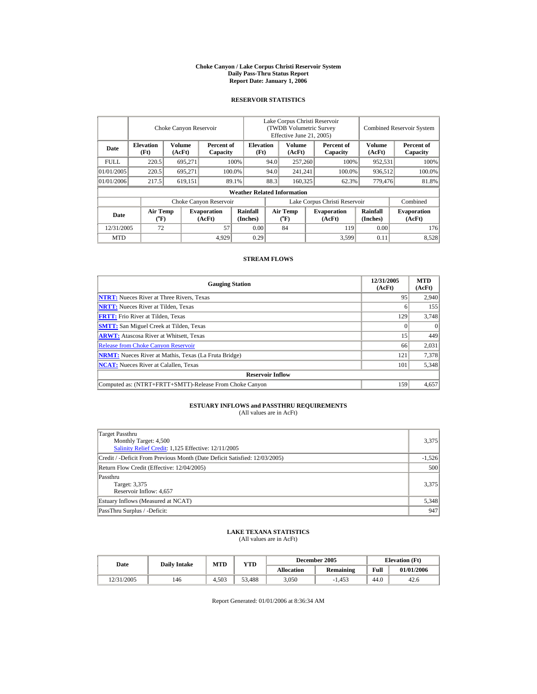#### **Choke Canyon / Lake Corpus Christi Reservoir System Daily Pass-Thru Status Report Report Date: January 1, 2006**

## **RESERVOIR STATISTICS**

|             | Choke Canyon Reservoir                |                         |                              |                                    | Lake Corpus Christi Reservoir<br>(TWDB Volumetric Survey<br>Effective June 21, 2005) |                                                  |  |                              |                      | <b>Combined Reservoir System</b> |  |  |
|-------------|---------------------------------------|-------------------------|------------------------------|------------------------------------|--------------------------------------------------------------------------------------|--------------------------------------------------|--|------------------------------|----------------------|----------------------------------|--|--|
| Date        | <b>Elevation</b><br>(Ft)              | <b>Volume</b><br>(AcFt) | Percent of<br>Capacity       | <b>Elevation</b><br>(Ft)           |                                                                                      | Volume<br>(AcFt)                                 |  | Percent of<br>Capacity       | Volume<br>(AcFt)     | Percent of<br>Capacity           |  |  |
| <b>FULL</b> | 220.5                                 | 695.271                 |                              | 100%                               | 94.0                                                                                 | 257,260                                          |  | 100%                         | 952,531              | 100%                             |  |  |
| 01/01/2005  | 220.5                                 | 695,271                 |                              | 100.0%                             | 94.0                                                                                 | 241,241                                          |  | 100.0%                       | 936,512              | 100.0%                           |  |  |
| 01/01/2006  | 217.5                                 | 619.151                 |                              | 89.1%                              | 88.3                                                                                 | 160,325                                          |  | 62.3%                        | 779,476              | 81.8%                            |  |  |
|             |                                       |                         |                              | <b>Weather Related Information</b> |                                                                                      |                                                  |  |                              |                      |                                  |  |  |
|             |                                       |                         | Choke Canyon Reservoir       |                                    | Lake Corpus Christi Reservoir                                                        |                                                  |  |                              |                      | Combined                         |  |  |
| Date        | <b>Air Temp</b><br>$({}^o\mathbf{F})$ |                         | <b>Evaporation</b><br>(AcFt) | Rainfall<br>(Inches)               |                                                                                      | <b>Air Temp</b><br>$({}^{\mathrm{o}}\mathrm{F})$ |  | <b>Evaporation</b><br>(AcFt) | Rainfall<br>(Inches) | <b>Evaporation</b><br>(AcFt)     |  |  |
| 12/31/2005  | 72                                    |                         | 57                           | 0.00                               |                                                                                      | 84                                               |  | 119                          | 0.00                 | 176                              |  |  |
| <b>MTD</b>  |                                       |                         | 4,929                        | 0.29                               |                                                                                      |                                                  |  | 3,599                        | 0.11                 | 8,528                            |  |  |

## **STREAM FLOWS**

| <b>Gauging Station</b>                                       | 12/31/2005<br>(AcFt) | <b>MTD</b><br>(AcFt) |
|--------------------------------------------------------------|----------------------|----------------------|
| <b>NTRT:</b> Nueces River at Three Rivers, Texas             | 95                   | 2.940                |
| <b>NRTT:</b> Nueces River at Tilden, Texas                   |                      | 155                  |
| <b>FRTT:</b> Frio River at Tilden, Texas                     | 129                  | 3,748                |
| <b>SMTT:</b> San Miguel Creek at Tilden, Texas               |                      | $\Omega$             |
| <b>ARWT:</b> Atascosa River at Whitsett, Texas               | 15                   | 449                  |
| <b>Release from Choke Canyon Reservoir</b>                   | 66                   | 2,031                |
| <b>NRMT:</b> Nueces River at Mathis, Texas (La Fruta Bridge) | 121                  | 7,378                |
| <b>NCAT:</b> Nueces River at Calallen, Texas                 | 101                  | 5,348                |
| <b>Reservoir Inflow</b>                                      |                      |                      |
| Computed as: (NTRT+FRTT+SMTT)-Release From Choke Canyon      | 159                  | 4,657                |

## **ESTUARY INFLOWS and PASSTHRU REQUIREMENTS**<br>(All values are in AcFt)

| Target Passthru<br>Monthly Target: 4,500<br>Salinity Relief Credit: 1,125 Effective: 12/11/2005 | 3,375    |
|-------------------------------------------------------------------------------------------------|----------|
| Credit / -Deficit From Previous Month (Date Deficit Satisfied: 12/03/2005)                      | $-1,526$ |
| Return Flow Credit (Effective: 12/04/2005)                                                      | 500      |
| Passthru<br>Target: 3,375<br>Reservoir Inflow: 4,657                                            | 3,375    |
| Estuary Inflows (Measured at NCAT)                                                              | 5,348    |
| PassThru Surplus / -Deficit:                                                                    | 947      |

## **LAKE TEXANA STATISTICS** (All values are in AcFt)

| Date       | <b>Daily Intake</b> | <b>MTD</b> | <b>YTD</b> |            | December 2005    | <b>Elevation</b> (Ft) |            |
|------------|---------------------|------------|------------|------------|------------------|-----------------------|------------|
|            |                     |            |            | Allocation | <b>Remaining</b> | Full                  | 01/01/2006 |
| 12/31/2005 | 146                 | 4.503      | 53.488     | 3,050      | $-1.453$         | 44.0                  | 42.6       |

Report Generated: 01/01/2006 at 8:36:34 AM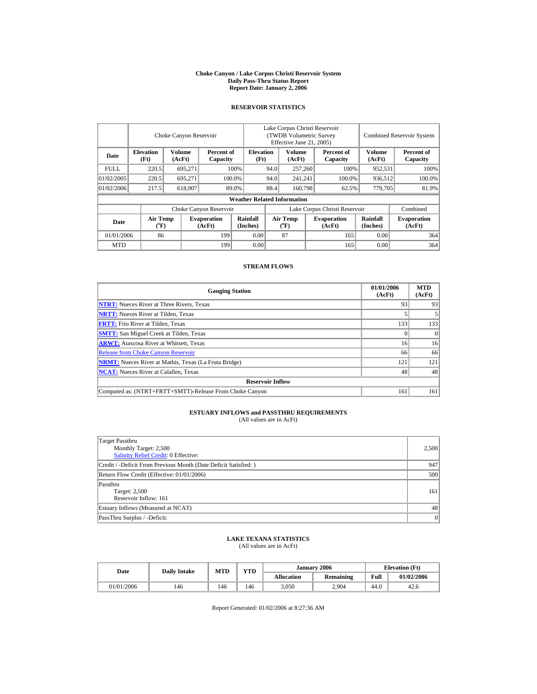#### **Choke Canyon / Lake Corpus Christi Reservoir System Daily Pass-Thru Status Report Report Date: January 2, 2006**

## **RESERVOIR STATISTICS**

|             | Choke Canyon Reservoir               |                         |                              |                                    | Lake Corpus Christi Reservoir<br>(TWDB Volumetric Survey)<br>Effective June 21, 2005) |                                       |  |                              |                         | <b>Combined Reservoir System</b> |  |  |
|-------------|--------------------------------------|-------------------------|------------------------------|------------------------------------|---------------------------------------------------------------------------------------|---------------------------------------|--|------------------------------|-------------------------|----------------------------------|--|--|
| Date        | <b>Elevation</b><br>(Ft)             | <b>Volume</b><br>(AcFt) | Percent of<br>Capacity       | <b>Elevation</b><br>(Ft)           |                                                                                       | Volume<br>(AcFt)                      |  | Percent of<br>Capacity       | <b>Volume</b><br>(AcFt) | Percent of<br>Capacity           |  |  |
| <b>FULL</b> | 220.5                                | 695.271                 |                              | 100%                               | 94.0                                                                                  | 257,260                               |  | 100%                         | 952,531                 | 100%                             |  |  |
| 01/02/2005  | 220.5                                | 695.271                 |                              | 100.0%                             | 94.0                                                                                  | 241.241                               |  | 100.0%                       | 936.512                 | 100.0%                           |  |  |
| 01/02/2006  | 217.5                                | 618,907                 |                              | 89.0%                              | 88.4                                                                                  | 160,798                               |  | 62.5%                        | 779,705                 | 81.9%                            |  |  |
|             |                                      |                         |                              | <b>Weather Related Information</b> |                                                                                       |                                       |  |                              |                         |                                  |  |  |
|             |                                      |                         | Choke Canyon Reservoir       |                                    | Lake Corpus Christi Reservoir                                                         |                                       |  |                              |                         | Combined                         |  |  |
| Date        | Air Temp<br>$({}^{\circ}\mathrm{F})$ |                         | <b>Evaporation</b><br>(AcFt) | Rainfall<br>(Inches)               |                                                                                       | <b>Air Temp</b><br>$({}^o\mathrm{F})$ |  | <b>Evaporation</b><br>(AcFt) | Rainfall<br>(Inches)    | <b>Evaporation</b><br>(AcFt)     |  |  |
| 01/01/2006  | 86                                   |                         | 199                          | 0.00                               |                                                                                       | 87                                    |  | 165                          | 0.00                    | 364                              |  |  |
| <b>MTD</b>  |                                      |                         | 199                          | 0.00                               |                                                                                       |                                       |  | 165                          | 0.00                    | 364                              |  |  |

## **STREAM FLOWS**

| <b>Gauging Station</b>                                       | 01/01/2006<br>(AcFt) | <b>MTD</b><br>(AcFt) |
|--------------------------------------------------------------|----------------------|----------------------|
| <b>NTRT:</b> Nueces River at Three Rivers, Texas             | 93                   | 93                   |
| <b>NRTT:</b> Nueces River at Tilden, Texas                   |                      |                      |
| <b>FRTT:</b> Frio River at Tilden, Texas                     | 133                  | 133                  |
| <b>SMTT:</b> San Miguel Creek at Tilden, Texas               |                      |                      |
| <b>ARWT:</b> Atascosa River at Whitsett, Texas               | 16                   | 16                   |
| <b>Release from Choke Canyon Reservoir</b>                   | 66                   | 66                   |
| <b>NRMT:</b> Nueces River at Mathis, Texas (La Fruta Bridge) | 121                  | 121                  |
| <b>NCAT:</b> Nueces River at Calallen, Texas                 | 48                   | 48                   |
| <b>Reservoir Inflow</b>                                      |                      |                      |
| Computed as: (NTRT+FRTT+SMTT)-Release From Choke Canyon      | 161                  | 161                  |

## **ESTUARY INFLOWS and PASSTHRU REQUIREMENTS**<br>(All values are in AcFt)

| Target Passthru<br>Monthly Target: 2,500<br><b>Salinity Relief Credit: 0 Effective:</b> | 2,500 |
|-----------------------------------------------------------------------------------------|-------|
| Credit / -Deficit From Previous Month (Date Deficit Satisfied:)                         | 947   |
| Return Flow Credit (Effective: 01/01/2006)                                              | 500   |
| Passthru<br>Target: 2,500<br>Reservoir Inflow: 161                                      | 161   |
| Estuary Inflows (Measured at NCAT)                                                      | 48    |
| PassThru Surplus / -Deficit:                                                            | 0     |

## **LAKE TEXANA STATISTICS** (All values are in AcFt)

| Date       | <b>Daily Intake</b> | MTD | <b>YTD</b> |                   | January 2006     | <b>Elevation</b> (Ft) |            |
|------------|---------------------|-----|------------|-------------------|------------------|-----------------------|------------|
|            |                     |     |            | <b>Allocation</b> | <b>Remaining</b> | Full                  | 01/02/2006 |
| 01/01/2006 | 146                 | 46ء | 146        | 3,050             | 2.904            | 44.0                  | 42.6       |

Report Generated: 01/02/2006 at 8:27:36 AM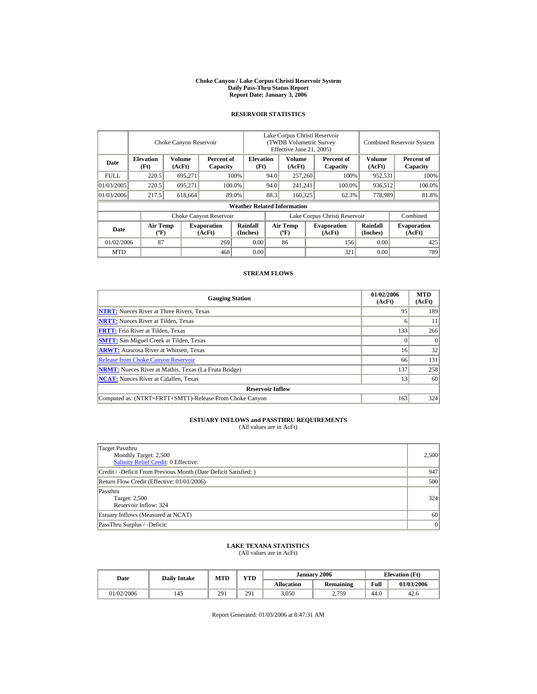#### **Choke Canyon / Lake Corpus Christi Reservoir System Daily Pass-Thru Status Report Report Date: January 3, 2006**

## **RESERVOIR STATISTICS**

|            | Choke Canyon Reservoir                      |                                            |                              |                                    | Lake Corpus Christi Reservoir<br>(TWDB Volumetric Survey<br>Effective June 21, 2005) |                                  |  |                              |                      | <b>Combined Reservoir System</b> |  |  |
|------------|---------------------------------------------|--------------------------------------------|------------------------------|------------------------------------|--------------------------------------------------------------------------------------|----------------------------------|--|------------------------------|----------------------|----------------------------------|--|--|
| Date       | <b>Elevation</b><br>(Ft)                    | Volume<br>Percent of<br>(AcFt)<br>Capacity |                              | <b>Elevation</b><br>(Ft)           |                                                                                      | Volume<br>(AcFt)                 |  | Percent of<br>Capacity       | Volume<br>(AcFt)     | Percent of<br>Capacity           |  |  |
| FULL.      | 220.5                                       | 695,271                                    |                              | 100%                               | 94.0                                                                                 | 257,260                          |  | 100%                         | 952,531              | 100%                             |  |  |
| 01/03/2005 | 220.5                                       | 695.271                                    |                              | 100.0%                             | 94.0                                                                                 | 241,241                          |  | 100.0%                       | 936,512              | 100.0%                           |  |  |
| 01/03/2006 | 217.5                                       | 618,664                                    |                              | 89.0%                              | 88.3                                                                                 | 160,325                          |  | 62.3%                        | 778,989              | 81.8%                            |  |  |
|            |                                             |                                            |                              | <b>Weather Related Information</b> |                                                                                      |                                  |  |                              |                      |                                  |  |  |
|            |                                             |                                            | Choke Canyon Reservoir       |                                    | Lake Corpus Christi Reservoir                                                        |                                  |  |                              |                      | Combined                         |  |  |
| Date       | <b>Air Temp</b><br>$({}^{\circ}\mathrm{F})$ |                                            | <b>Evaporation</b><br>(AcFt) | Rainfall<br>(Inches)               |                                                                                      | <b>Air Temp</b><br>$(^{\circ}F)$ |  | <b>Evaporation</b><br>(AcFt) | Rainfall<br>(Inches) | <b>Evaporation</b><br>(AcFt)     |  |  |
| 01/02/2006 | 87                                          |                                            | 269                          | 0.00                               |                                                                                      | 86                               |  | 156                          | 0.00                 | 425                              |  |  |
| <b>MTD</b> |                                             |                                            | 468                          | 0.00                               |                                                                                      |                                  |  | 321                          | 0.00                 | 789                              |  |  |

## **STREAM FLOWS**

| <b>Gauging Station</b>                                       | 01/02/2006<br>(AcFt) | <b>MTD</b><br>(AcFt) |
|--------------------------------------------------------------|----------------------|----------------------|
| <b>NTRT:</b> Nueces River at Three Rivers, Texas             | 95                   | 189                  |
| <b>NRTT:</b> Nueces River at Tilden, Texas                   |                      | 11                   |
| <b>FRTT:</b> Frio River at Tilden, Texas                     | 133                  | 266                  |
| <b>SMTT:</b> San Miguel Creek at Tilden, Texas               |                      | $\Omega$             |
| <b>ARWT:</b> Atascosa River at Whitsett, Texas               | 16                   | 32                   |
| <b>Release from Choke Canyon Reservoir</b>                   | 66                   | 131                  |
| <b>NRMT:</b> Nueces River at Mathis, Texas (La Fruta Bridge) | 137                  | 258                  |
| <b>NCAT:</b> Nueces River at Calallen. Texas                 | 13                   | 60                   |
| <b>Reservoir Inflow</b>                                      |                      |                      |
| Computed as: (NTRT+FRTT+SMTT)-Release From Choke Canyon      | 163                  | 324                  |

# **ESTUARY INFLOWS and PASSTHRU REQUIREMENTS**<br>(All values are in AcFt)

| Target Passthru<br>Monthly Target: 2,500<br>Salinity Relief Credit: 0 Effective: | 2,500 |
|----------------------------------------------------------------------------------|-------|
| Credit / -Deficit From Previous Month (Date Deficit Satisfied:)                  | 947   |
| Return Flow Credit (Effective: 01/01/2006)                                       | 500   |
| Passthru<br>Target: 2,500<br>Reservoir Inflow: 324                               | 324   |
| Estuary Inflows (Measured at NCAT)                                               | 60    |
| PassThru Surplus / -Deficit:                                                     | 0     |

## **LAKE TEXANA STATISTICS**

(All values are in AcFt)

| Date       |     | <b>YTD</b><br><b>MTD</b><br><b>Daily Intake</b> |     |                   | January 2006     | <b>Elevation</b> (Ft) |            |
|------------|-----|-------------------------------------------------|-----|-------------------|------------------|-----------------------|------------|
|            |     |                                                 |     | <b>Allocation</b> | <b>Remaining</b> | Full                  | 01/03/2006 |
| 01/02/2006 | 145 | 291                                             | 291 | 3,050             | 2,759            | 44.0                  | 42.6       |

Report Generated: 01/03/2006 at 8:47:31 AM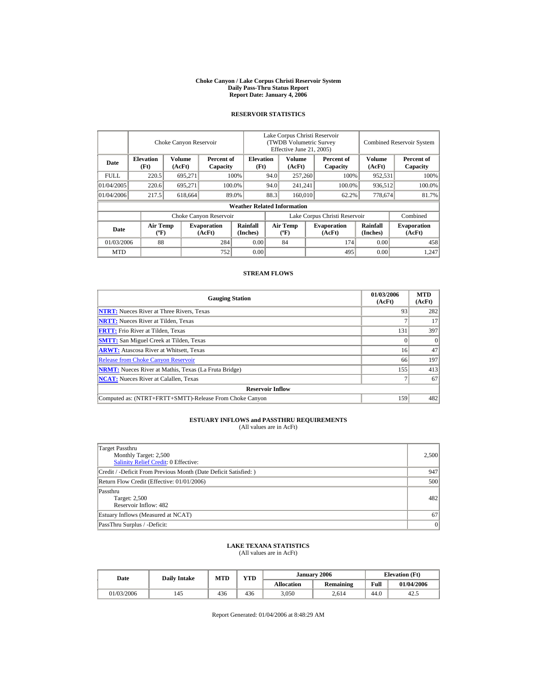#### **Choke Canyon / Lake Corpus Christi Reservoir System Daily Pass-Thru Status Report Report Date: January 4, 2006**

## **RESERVOIR STATISTICS**

|            | Choke Canyon Reservoir      |                                            |                              |                                    | Lake Corpus Christi Reservoir<br>(TWDB Volumetric Survey<br>Effective June 21, 2005) |                                             |         |                              | <b>Combined Reservoir System</b> |                              |  |
|------------|-----------------------------|--------------------------------------------|------------------------------|------------------------------------|--------------------------------------------------------------------------------------|---------------------------------------------|---------|------------------------------|----------------------------------|------------------------------|--|
| Date       | <b>Elevation</b><br>(Ft)    | Volume<br>Percent of<br>(AcFt)<br>Capacity |                              | <b>Elevation</b><br>(Ft)           |                                                                                      | Volume<br>(AcFt)                            |         | Percent of<br>Capacity       | Volume<br>(AcFt)                 | Percent of<br>Capacity       |  |
| FULL.      | 220.5                       | 695,271                                    |                              | 100%                               | 94.0                                                                                 | 257,260                                     |         | 100%                         | 952,531                          | 100%                         |  |
| 01/04/2005 | 220.6                       | 695,271                                    |                              | 100.0%                             | 94.0                                                                                 |                                             | 241.241 | 100.0%                       | 936,512                          | 100.0%                       |  |
| 01/04/2006 | 217.5                       | 618,664                                    |                              | 89.0%                              | 88.3                                                                                 | 160,010                                     |         | 62.2%                        | 778,674                          | 81.7%                        |  |
|            |                             |                                            |                              | <b>Weather Related Information</b> |                                                                                      |                                             |         |                              |                                  |                              |  |
|            |                             |                                            | Choke Canyon Reservoir       |                                    | Lake Corpus Christi Reservoir                                                        |                                             |         |                              | Combined                         |                              |  |
| Date       | Air Temp<br>$({}^{\circ}F)$ |                                            | <b>Evaporation</b><br>(AcFt) | Rainfall<br>(Inches)               |                                                                                      | <b>Air Temp</b><br>$({}^{\circ}\mathrm{F})$ |         | <b>Evaporation</b><br>(AcFt) | Rainfall<br>(Inches)             | <b>Evaporation</b><br>(AcFt) |  |
| 01/03/2006 | 88                          |                                            | 284                          | 0.00                               |                                                                                      | 84                                          |         | 174                          | 0.00                             | 458                          |  |
| <b>MTD</b> |                             |                                            | 752                          | 0.00                               |                                                                                      |                                             |         | 495                          | 0.00                             | 1.247                        |  |

## **STREAM FLOWS**

| <b>Gauging Station</b>                                       | 01/03/2006<br>(AcFt) | <b>MTD</b><br>(AcFt) |
|--------------------------------------------------------------|----------------------|----------------------|
| <b>NTRT:</b> Nueces River at Three Rivers, Texas             | 93                   | 282                  |
| <b>NRTT:</b> Nueces River at Tilden, Texas                   |                      | 17                   |
| <b>FRTT:</b> Frio River at Tilden, Texas                     | 131                  | 397                  |
| <b>SMTT:</b> San Miguel Creek at Tilden, Texas               |                      | $\Omega$             |
| <b>ARWT:</b> Atascosa River at Whitsett, Texas               | 16                   | 47                   |
| <b>Release from Choke Canyon Reservoir</b>                   | 66                   | 197                  |
| <b>NRMT:</b> Nueces River at Mathis, Texas (La Fruta Bridge) | 155                  | 413                  |
| <b>NCAT:</b> Nueces River at Calallen. Texas                 |                      | 67                   |
| <b>Reservoir Inflow</b>                                      |                      |                      |
| Computed as: (NTRT+FRTT+SMTT)-Release From Choke Canyon      | 159                  | 482                  |

# **ESTUARY INFLOWS and PASSTHRU REQUIREMENTS**<br>(All values are in AcFt)

| Target Passthru<br>Monthly Target: 2,500<br>Salinity Relief Credit: 0 Effective: | 2,500     |
|----------------------------------------------------------------------------------|-----------|
| Credit / -Deficit From Previous Month (Date Deficit Satisfied:)                  | 947       |
| Return Flow Credit (Effective: 01/01/2006)                                       | 500       |
| Passthru<br>Target: 2,500<br>Reservoir Inflow: 482                               | 482       |
| Estuary Inflows (Measured at NCAT)                                               | 67        |
| PassThru Surplus / -Deficit:                                                     | $\vert$ 0 |

## **LAKE TEXANA STATISTICS**

(All values are in AcFt)

| Date       | <b>Daily Intake</b> | <b>MTD</b> | <b>YTD</b> |                   | January 2006     | <b>Elevation</b> (Ft) |            |  |
|------------|---------------------|------------|------------|-------------------|------------------|-----------------------|------------|--|
|            |                     |            |            | <b>Allocation</b> | <b>Remaining</b> | Full                  | 01/04/2006 |  |
| 01/03/2006 | 145                 | 436        | 436        | 3.050             | 2,614            | 44.0                  | 42.5       |  |

Report Generated: 01/04/2006 at 8:48:29 AM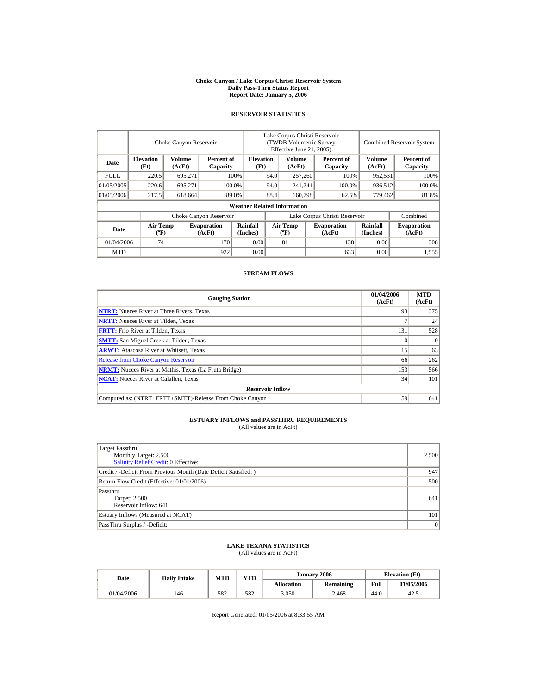#### **Choke Canyon / Lake Corpus Christi Reservoir System Daily Pass-Thru Status Report Report Date: January 5, 2006**

## **RESERVOIR STATISTICS**

|            | Choke Canyon Reservoir                      |                                            |                              |                                    | Lake Corpus Christi Reservoir<br>(TWDB Volumetric Survey<br>Effective June 21, 2005) |                                  |        |                              |                      | <b>Combined Reservoir System</b> |  |  |
|------------|---------------------------------------------|--------------------------------------------|------------------------------|------------------------------------|--------------------------------------------------------------------------------------|----------------------------------|--------|------------------------------|----------------------|----------------------------------|--|--|
| Date       | <b>Elevation</b><br>(Ft)                    | Volume<br>Percent of<br>(AcFt)<br>Capacity |                              | <b>Elevation</b><br>(Ft)           |                                                                                      | <b>Volume</b><br>(AcFt)          |        | Percent of<br>Capacity       | Volume<br>(AcFt)     | Percent of<br>Capacity           |  |  |
| FULL.      | 220.5                                       | 695,271                                    |                              | 100%                               | 94.0                                                                                 | 257,260                          |        | 100%                         | 952,531              | 100%                             |  |  |
| 01/05/2005 | 220.6                                       | 695.271                                    |                              | 100.0%                             | 94.0                                                                                 | 241,241                          | 100.0% |                              | 936,512              | 100.0%                           |  |  |
| 01/05/2006 | 217.5                                       | 618,664                                    |                              | 89.0%                              | 88.4                                                                                 | 160,798                          |        | 62.5%                        | 779,462              | 81.8%                            |  |  |
|            |                                             |                                            |                              | <b>Weather Related Information</b> |                                                                                      |                                  |        |                              |                      |                                  |  |  |
|            |                                             |                                            | Choke Canyon Reservoir       |                                    | Lake Corpus Christi Reservoir                                                        |                                  |        |                              |                      | Combined                         |  |  |
| Date       | <b>Air Temp</b><br>$({}^{\circ}\mathrm{F})$ |                                            | <b>Evaporation</b><br>(AcFt) | Rainfall<br>(Inches)               |                                                                                      | <b>Air Temp</b><br>$(^{\circ}F)$ |        | <b>Evaporation</b><br>(AcFt) | Rainfall<br>(Inches) | <b>Evaporation</b><br>(AcFt)     |  |  |
| 01/04/2006 | 74                                          |                                            | 170                          | 0.00                               |                                                                                      | 81                               |        | 138                          | 0.00                 | 308                              |  |  |
| <b>MTD</b> |                                             |                                            | 922                          | 0.00                               |                                                                                      |                                  |        | 633                          | 0.00                 | 1,555                            |  |  |

## **STREAM FLOWS**

| <b>Gauging Station</b>                                       | 01/04/2006<br>(AcFt) | <b>MTD</b><br>(AcFt) |
|--------------------------------------------------------------|----------------------|----------------------|
| <b>NTRT:</b> Nueces River at Three Rivers, Texas             | 93                   | 375                  |
| <b>NRTT:</b> Nueces River at Tilden, Texas                   |                      | 24                   |
| <b>FRTT:</b> Frio River at Tilden, Texas                     | 131                  | 528                  |
| <b>SMTT:</b> San Miguel Creek at Tilden, Texas               |                      | $\Omega$             |
| <b>ARWT:</b> Atascosa River at Whitsett, Texas               | 15                   | 63                   |
| <b>Release from Choke Canyon Reservoir</b>                   | 66                   | 262                  |
| <b>NRMT:</b> Nueces River at Mathis, Texas (La Fruta Bridge) | 153                  | 566                  |
| <b>NCAT:</b> Nueces River at Calallen, Texas                 | 34                   | 101                  |
| <b>Reservoir Inflow</b>                                      |                      |                      |
| Computed as: (NTRT+FRTT+SMTT)-Release From Choke Canyon      | 159                  | 641                  |

# **ESTUARY INFLOWS and PASSTHRU REQUIREMENTS**<br>(All values are in AcFt)

| Target Passthru<br>Monthly Target: 2,500<br>Salinity Relief Credit: 0 Effective: | 2,500 |
|----------------------------------------------------------------------------------|-------|
| Credit / -Deficit From Previous Month (Date Deficit Satisfied:)                  | 947   |
| Return Flow Credit (Effective: 01/01/2006)                                       | 500   |
| Passthru<br>Target: 2,500<br>Reservoir Inflow: 641                               | 641   |
| Estuary Inflows (Measured at NCAT)                                               | 101   |
| PassThru Surplus / -Deficit:                                                     | 0     |

## **LAKE TEXANA STATISTICS**

(All values are in AcFt)

| Date       | <b>Daily Intake</b> | <b>MTD</b> | <b>YTD</b> |                   | January 2006     | <b>Elevation</b> (Ft) |            |  |
|------------|---------------------|------------|------------|-------------------|------------------|-----------------------|------------|--|
|            |                     |            |            | <b>Allocation</b> | <b>Remaining</b> | Full                  | 01/05/2006 |  |
| 01/04/2006 | 146                 | 582        | 582        | 3,050             | 2.468            | 44.0                  | 42.5       |  |

Report Generated: 01/05/2006 at 8:33:55 AM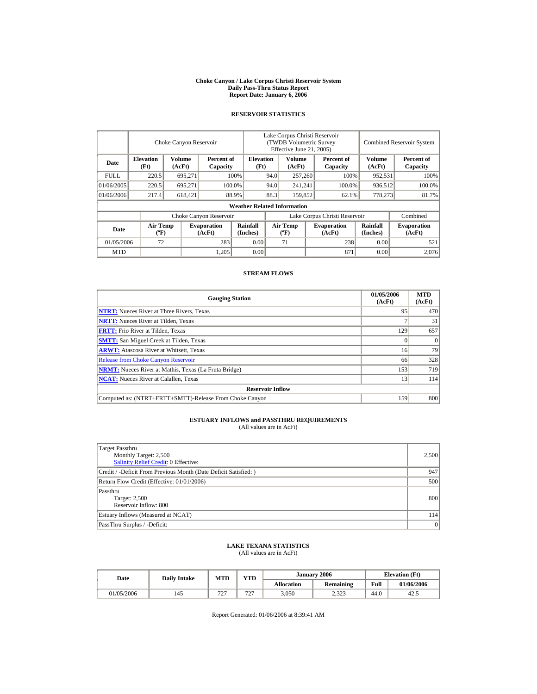#### **Choke Canyon / Lake Corpus Christi Reservoir System Daily Pass-Thru Status Report Report Date: January 6, 2006**

## **RESERVOIR STATISTICS**

|            | Choke Canyon Reservoir                      |                  |                              |                                    | Lake Corpus Christi Reservoir<br>(TWDB Volumetric Survey<br>Effective June 21, 2005) |                                  |  |                              | <b>Combined Reservoir System</b> |                              |  |
|------------|---------------------------------------------|------------------|------------------------------|------------------------------------|--------------------------------------------------------------------------------------|----------------------------------|--|------------------------------|----------------------------------|------------------------------|--|
| Date       | <b>Elevation</b><br>(Ft)                    | Volume<br>(AcFt) | Percent of<br>Capacity       |                                    | <b>Elevation</b><br>(Ft)                                                             | <b>Volume</b><br>(AcFt)          |  | Percent of<br>Capacity       | Volume<br>(AcFt)                 | Percent of<br>Capacity       |  |
| FULL.      | 220.5                                       | 695,271          |                              | 100%                               | 94.0                                                                                 | 257,260                          |  | 100%                         | 952,531                          | 100%                         |  |
| 01/06/2005 | 220.5                                       | 695.271          |                              | 100.0%                             | 94.0                                                                                 | 241,241                          |  | 100.0%                       | 936,512                          | 100.0%                       |  |
| 01/06/2006 | 217.4                                       | 618,421          |                              | 88.9%                              | 88.3                                                                                 | 159,852                          |  | 62.1%                        | 778,273                          | 81.7%                        |  |
|            |                                             |                  |                              | <b>Weather Related Information</b> |                                                                                      |                                  |  |                              |                                  |                              |  |
|            |                                             |                  | Choke Canyon Reservoir       |                                    | Lake Corpus Christi Reservoir                                                        |                                  |  |                              |                                  | Combined                     |  |
| Date       | <b>Air Temp</b><br>$({}^{\circ}\mathrm{F})$ |                  | <b>Evaporation</b><br>(AcFt) | Rainfall<br>(Inches)               |                                                                                      | <b>Air Temp</b><br>$(^{\circ}F)$ |  | <b>Evaporation</b><br>(AcFt) | Rainfall<br>(Inches)             | <b>Evaporation</b><br>(AcFt) |  |
| 01/05/2006 | 72                                          |                  | 283                          | 0.00                               |                                                                                      | 71                               |  | 238                          | 0.00                             | 521                          |  |
| <b>MTD</b> |                                             |                  | 1,205                        | 0.00                               |                                                                                      |                                  |  | 871                          | 0.00                             | 2.076                        |  |

## **STREAM FLOWS**

| <b>Gauging Station</b>                                       | 01/05/2006<br>(AcFt) | <b>MTD</b><br>(AcFt) |
|--------------------------------------------------------------|----------------------|----------------------|
| <b>NTRT:</b> Nueces River at Three Rivers, Texas             | 95                   | 470                  |
| <b>NRTT:</b> Nueces River at Tilden, Texas                   |                      | 31                   |
| <b>FRTT:</b> Frio River at Tilden, Texas                     | 129                  | 657                  |
| <b>SMTT:</b> San Miguel Creek at Tilden, Texas               |                      | $\Omega$             |
| <b>ARWT:</b> Atascosa River at Whitsett, Texas               | 16                   | 79                   |
| <b>Release from Choke Canyon Reservoir</b>                   | 66                   | 328                  |
| <b>NRMT:</b> Nueces River at Mathis, Texas (La Fruta Bridge) | 153                  | 719                  |
| <b>NCAT:</b> Nueces River at Calallen, Texas                 | 13                   | 114                  |
| <b>Reservoir Inflow</b>                                      |                      |                      |
| Computed as: (NTRT+FRTT+SMTT)-Release From Choke Canyon      | 159                  | 800                  |

# **ESTUARY INFLOWS and PASSTHRU REQUIREMENTS**<br>(All values are in AcFt)

| Target Passthru<br>Monthly Target: 2,500<br>Salinity Relief Credit: 0 Effective: | 2,500 |
|----------------------------------------------------------------------------------|-------|
| Credit / -Deficit From Previous Month (Date Deficit Satisfied:)                  | 947   |
| Return Flow Credit (Effective: 01/01/2006)                                       | 500   |
| Passthru<br>Target: 2,500<br>Reservoir Inflow: 800                               | 800   |
| Estuary Inflows (Measured at NCAT)                                               | 114   |
| PassThru Surplus / -Deficit:                                                     | 0     |

## **LAKE TEXANA STATISTICS**

(All values are in AcFt)

| Date       | <b>Daily Intake</b> | <b>MTD</b> | <b>YTD</b> |                   | January 2006     | <b>Elevation</b> (Ft) |            |
|------------|---------------------|------------|------------|-------------------|------------------|-----------------------|------------|
|            |                     |            |            | <b>Allocation</b> | <b>Remaining</b> | Full                  | 01/06/2006 |
| 01/05/2006 | 145                 | 727<br>▵   | 727<br>∠   | 3,050             | 2,323            | 44.0                  | 42.5       |

Report Generated: 01/06/2006 at 8:39:41 AM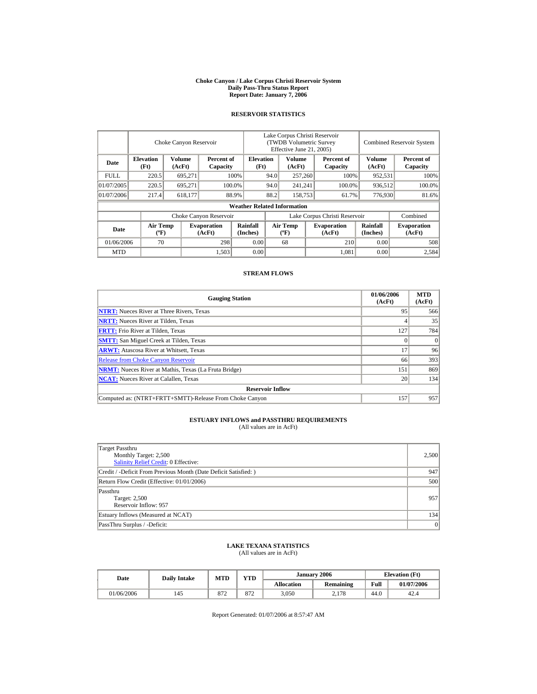#### **Choke Canyon / Lake Corpus Christi Reservoir System Daily Pass-Thru Status Report Report Date: January 7, 2006**

## **RESERVOIR STATISTICS**

|             | Choke Canyon Reservoir                |                                            |                              |                                    | Lake Corpus Christi Reservoir<br>(TWDB Volumetric Survey<br>Effective June 21, 2005) |                                          |  |                              |                             | <b>Combined Reservoir System</b> |  |  |
|-------------|---------------------------------------|--------------------------------------------|------------------------------|------------------------------------|--------------------------------------------------------------------------------------|------------------------------------------|--|------------------------------|-----------------------------|----------------------------------|--|--|
| Date        | <b>Elevation</b><br>(Ft)              | Volume<br>Percent of<br>(AcFt)<br>Capacity |                              | <b>Elevation</b><br>(Ft)           |                                                                                      | Volume<br>(AcFt)                         |  | Percent of<br>Capacity       | <b>Volume</b><br>(AcFt)     | Percent of<br>Capacity           |  |  |
| <b>FULL</b> | 220.5                                 | 695,271                                    |                              | 100%                               | 94.0                                                                                 | 257,260                                  |  | 100%                         | 952,531                     | 100%                             |  |  |
| 01/07/2005  | 220.5                                 | 695.271                                    |                              | 100.0%                             | 94.0                                                                                 | 241,241                                  |  | 100.0%                       | 936,512                     | 100.0%                           |  |  |
| 01/07/2006  | 217.4                                 | 618,177                                    |                              | 88.9%                              | 88.2                                                                                 | 158,753                                  |  | 61.7%                        | 776,930                     | 81.6%                            |  |  |
|             |                                       |                                            |                              | <b>Weather Related Information</b> |                                                                                      |                                          |  |                              |                             |                                  |  |  |
|             |                                       |                                            | Choke Canyon Reservoir       |                                    | Lake Corpus Christi Reservoir                                                        |                                          |  |                              |                             | Combined                         |  |  |
| Date        | <b>Air Temp</b><br>$({}^o\mathrm{F})$ |                                            | <b>Evaporation</b><br>(AcFt) | <b>Rainfall</b><br>(Inches)        |                                                                                      | <b>Air Temp</b><br>$({}^{\circ}{\rm F})$ |  | <b>Evaporation</b><br>(AcFt) | <b>Rainfall</b><br>(Inches) | <b>Evaporation</b><br>(AcFt)     |  |  |
| 01/06/2006  | 70                                    |                                            | 298                          | 0.00                               |                                                                                      | 68                                       |  | 210                          | 0.00                        | 508                              |  |  |
| <b>MTD</b>  |                                       |                                            | 1,503                        | 0.00                               |                                                                                      |                                          |  | 1.081                        | 0.00                        | 2,584                            |  |  |

## **STREAM FLOWS**

| <b>Gauging Station</b>                                       | 01/06/2006<br>(AcFt) | <b>MTD</b><br>(AcFt) |
|--------------------------------------------------------------|----------------------|----------------------|
| <b>NTRT:</b> Nueces River at Three Rivers, Texas             | 95                   | 566                  |
| <b>NRTT:</b> Nueces River at Tilden, Texas                   |                      | 35                   |
| <b>FRTT:</b> Frio River at Tilden, Texas                     | 127                  | 784                  |
| <b>SMTT:</b> San Miguel Creek at Tilden, Texas               |                      | $\Omega$             |
| <b>ARWT:</b> Atascosa River at Whitsett, Texas               | $\mathbf{z}$         | 96                   |
| <b>Release from Choke Canyon Reservoir</b>                   | 66                   | 393                  |
| <b>NRMT:</b> Nueces River at Mathis, Texas (La Fruta Bridge) | 151                  | 869                  |
| <b>NCAT:</b> Nueces River at Calallen, Texas                 | 20                   | 134                  |
| <b>Reservoir Inflow</b>                                      |                      |                      |
| Computed as: (NTRT+FRTT+SMTT)-Release From Choke Canyon      | 157                  | 957                  |

# **ESTUARY INFLOWS and PASSTHRU REQUIREMENTS**<br>(All values are in AcFt)

| Target Passthru<br>Monthly Target: 2,500<br>Salinity Relief Credit: 0 Effective: | 2,500 |
|----------------------------------------------------------------------------------|-------|
| Credit / -Deficit From Previous Month (Date Deficit Satisfied:)                  | 947   |
| Return Flow Credit (Effective: 01/01/2006)                                       | 500   |
| Passthru<br>Target: 2,500<br>Reservoir Inflow: 957                               | 957   |
| Estuary Inflows (Measured at NCAT)                                               | 134   |
| PassThru Surplus / -Deficit:                                                     | 0     |

## **LAKE TEXANA STATISTICS**

(All values are in AcFt)

| Date       | <b>Daily Intake</b> | <b>MTD</b> | <b>YTD</b> |                   | January 2006     | <b>Elevation</b> (Ft) |            |
|------------|---------------------|------------|------------|-------------------|------------------|-----------------------|------------|
|            |                     |            |            | <b>Allocation</b> | <b>Remaining</b> | Full                  | 01/07/2006 |
| 01/06/2006 | 145                 | 872        | 872        | 3,050             | 2,178            | 44.0                  | 42.4       |

Report Generated: 01/07/2006 at 8:57:47 AM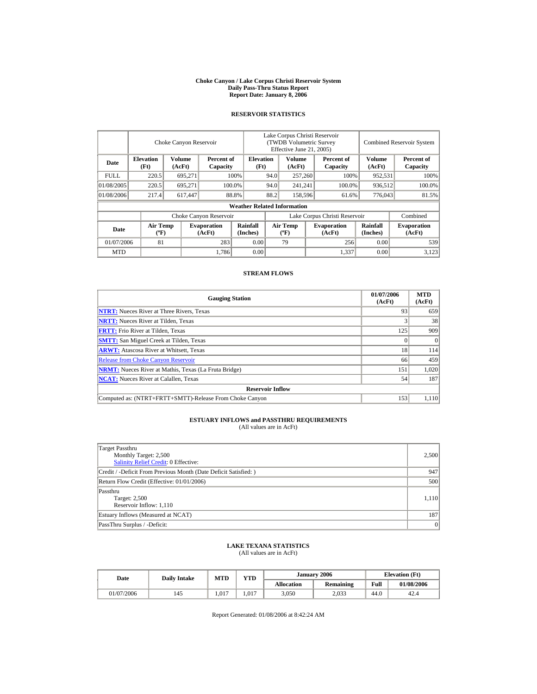#### **Choke Canyon / Lake Corpus Christi Reservoir System Daily Pass-Thru Status Report Report Date: January 8, 2006**

## **RESERVOIR STATISTICS**

|             | Choke Canyon Reservoir                      |                                            |                              |                                    | Lake Corpus Christi Reservoir<br>(TWDB Volumetric Survey<br>Effective June 21, 2005) |                                  |  |                              | <b>Combined Reservoir System</b> |                              |  |
|-------------|---------------------------------------------|--------------------------------------------|------------------------------|------------------------------------|--------------------------------------------------------------------------------------|----------------------------------|--|------------------------------|----------------------------------|------------------------------|--|
| Date        | <b>Elevation</b><br>(Ft)                    | Volume<br>Percent of<br>(AcFt)<br>Capacity |                              | <b>Elevation</b><br>(Ft)           |                                                                                      | Volume<br>(AcFt)                 |  | Percent of<br>Capacity       | Volume<br>(AcFt)                 | Percent of<br>Capacity       |  |
| <b>FULL</b> | 220.5                                       | 695,271                                    |                              | 100%                               | 94.0                                                                                 | 257,260                          |  | 100%                         | 952,531                          | 100%                         |  |
| 01/08/2005  | 220.5                                       | 695.271                                    |                              | 100.0%                             | 94.0                                                                                 | 241,241                          |  | 100.0%                       | 936,512                          | 100.0%                       |  |
| 01/08/2006  | 217.4                                       | 617,447                                    |                              | 88.8%                              | 88.2                                                                                 | 158,596                          |  | 61.6%                        | 776,043                          | 81.5%                        |  |
|             |                                             |                                            |                              | <b>Weather Related Information</b> |                                                                                      |                                  |  |                              |                                  |                              |  |
|             |                                             |                                            | Choke Canyon Reservoir       |                                    | Lake Corpus Christi Reservoir                                                        |                                  |  |                              |                                  | Combined                     |  |
| Date        | <b>Air Temp</b><br>$({}^{\circ}\mathrm{F})$ |                                            | <b>Evaporation</b><br>(AcFt) | Rainfall<br>(Inches)               |                                                                                      | <b>Air Temp</b><br>$(^{\circ}F)$ |  | <b>Evaporation</b><br>(AcFt) | <b>Rainfall</b><br>(Inches)      | <b>Evaporation</b><br>(AcFt) |  |
| 01/07/2006  | 81                                          |                                            | 283                          | 0.00                               |                                                                                      | 79                               |  | 256                          | 0.00                             | 539                          |  |
| <b>MTD</b>  |                                             |                                            | 1,786                        | 0.00                               |                                                                                      |                                  |  | 1,337                        | 0.00                             | 3,123                        |  |

## **STREAM FLOWS**

| <b>Gauging Station</b>                                       | 01/07/2006<br>(AcFt) | <b>MTD</b><br>(AcFt) |
|--------------------------------------------------------------|----------------------|----------------------|
| <b>NTRT:</b> Nueces River at Three Rivers, Texas             | 93                   | 659                  |
| <b>NRTT:</b> Nueces River at Tilden, Texas                   |                      | 38                   |
| <b>FRTT:</b> Frio River at Tilden, Texas                     | 125                  | 909                  |
| <b>SMTT:</b> San Miguel Creek at Tilden, Texas               | 0                    | $\Omega$             |
| <b>ARWT:</b> Atascosa River at Whitsett, Texas               | 18                   | 114                  |
| <b>Release from Choke Canyon Reservoir</b>                   | 66                   | 459                  |
| <b>NRMT:</b> Nueces River at Mathis, Texas (La Fruta Bridge) | 151                  | 1,020                |
| <b>NCAT:</b> Nueces River at Calallen. Texas                 | 54                   | 187                  |
| <b>Reservoir Inflow</b>                                      |                      |                      |
| Computed as: (NTRT+FRTT+SMTT)-Release From Choke Canyon      | 153                  | 1.110                |

# **ESTUARY INFLOWS and PASSTHRU REQUIREMENTS**<br>(All values are in AcFt)

| Target Passthru<br>Monthly Target: 2,500<br>Salinity Relief Credit: 0 Effective: | 2,500     |
|----------------------------------------------------------------------------------|-----------|
| Credit / -Deficit From Previous Month (Date Deficit Satisfied:)                  | 947       |
| Return Flow Credit (Effective: 01/01/2006)                                       | 500       |
| Passthru<br>Target: 2,500<br>Reservoir Inflow: 1,110                             | 1,110     |
| Estuary Inflows (Measured at NCAT)                                               | 187       |
| PassThru Surplus / -Deficit:                                                     | $\vert$ 0 |

## **LAKE TEXANA STATISTICS**

(All values are in AcFt)

| Date       | <b>Daily Intake</b> | <b>MTD</b> | <b>VTD</b> |                   | January 2006 | <b>Elevation</b> (Ft) |            |  |
|------------|---------------------|------------|------------|-------------------|--------------|-----------------------|------------|--|
|            |                     |            |            | <b>Allocation</b> | Remaining    | Full                  | 01/08/2006 |  |
| 01/07/2006 | 145                 | .017       | .017       | 3,050             | 2,033        | 44.0                  | 42.4       |  |

Report Generated: 01/08/2006 at 8:42:24 AM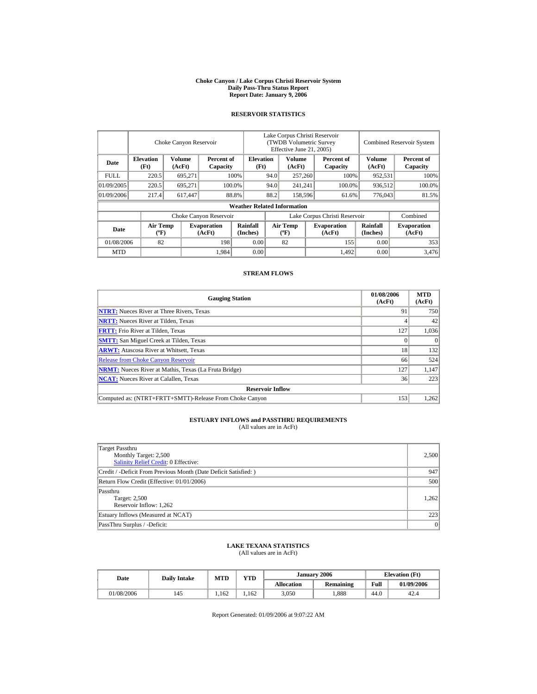#### **Choke Canyon / Lake Corpus Christi Reservoir System Daily Pass-Thru Status Report Report Date: January 9, 2006**

## **RESERVOIR STATISTICS**

|             | Choke Canyon Reservoir                      |                  |                              |                                    | Lake Corpus Christi Reservoir<br>(TWDB Volumetric Survey<br>Effective June 21, 2005) |                                  |                   |                              |                             | <b>Combined Reservoir System</b> |  |  |
|-------------|---------------------------------------------|------------------|------------------------------|------------------------------------|--------------------------------------------------------------------------------------|----------------------------------|-------------------|------------------------------|-----------------------------|----------------------------------|--|--|
| Date        | <b>Elevation</b><br>(Ft)                    | Volume<br>(AcFt) | Percent of<br>Capacity       |                                    | <b>Elevation</b><br>(Ft)                                                             | Volume<br>(AcFt)                 |                   | Percent of<br>Capacity       | Volume<br>(AcFt)            | Percent of<br>Capacity           |  |  |
| <b>FULL</b> | 220.5                                       | 695,271          |                              | 100%                               | 94.0                                                                                 | 257,260                          |                   | 100%                         | 952,531                     | 100%                             |  |  |
| 01/09/2005  | 220.5                                       | 695,271          |                              | 100.0%                             | 94.0                                                                                 |                                  | 100.0%<br>241,241 |                              | 936,512                     | 100.0%                           |  |  |
| 01/09/2006  | 217.4                                       | 617,447          |                              | 88.8%                              | 88.2                                                                                 | 158,596                          |                   | 61.6%                        | 776,043                     | 81.5%                            |  |  |
|             |                                             |                  |                              | <b>Weather Related Information</b> |                                                                                      |                                  |                   |                              |                             |                                  |  |  |
|             |                                             |                  | Choke Canyon Reservoir       |                                    | Lake Corpus Christi Reservoir                                                        |                                  |                   |                              |                             | Combined                         |  |  |
| Date        | <b>Air Temp</b><br>$({}^{\circ}\mathrm{F})$ |                  | <b>Evaporation</b><br>(AcFt) | Rainfall<br>(Inches)               |                                                                                      | <b>Air Temp</b><br>$(^{\circ}F)$ |                   | <b>Evaporation</b><br>(AcFt) | <b>Rainfall</b><br>(Inches) | <b>Evaporation</b><br>(AcFt)     |  |  |
| 01/08/2006  | 82                                          |                  | 198                          | 0.00                               |                                                                                      | 82                               |                   | 155                          | 0.00                        | 353                              |  |  |
| <b>MTD</b>  |                                             |                  | 1,984                        | 0.00                               |                                                                                      |                                  |                   | 1,492                        | 0.00                        | 3.476                            |  |  |

## **STREAM FLOWS**

| <b>Gauging Station</b>                                       | 01/08/2006<br>(AcFt) | <b>MTD</b><br>(AcFt) |
|--------------------------------------------------------------|----------------------|----------------------|
| <b>NTRT:</b> Nueces River at Three Rivers, Texas             | 91                   | 750                  |
| <b>NRTT:</b> Nueces River at Tilden, Texas                   |                      | 42                   |
| <b>FRTT:</b> Frio River at Tilden, Texas                     | 127                  | 1,036                |
| <b>SMTT:</b> San Miguel Creek at Tilden, Texas               |                      | $\Omega$             |
| <b>ARWT:</b> Atascosa River at Whitsett, Texas               | 18                   | 132                  |
| <b>Release from Choke Canyon Reservoir</b>                   | 66                   | 524                  |
| <b>NRMT:</b> Nueces River at Mathis, Texas (La Fruta Bridge) | 127                  | 1,147                |
| <b>NCAT:</b> Nueces River at Calallen, Texas                 | 36                   | 223                  |
| <b>Reservoir Inflow</b>                                      |                      |                      |
| Computed as: (NTRT+FRTT+SMTT)-Release From Choke Canyon      | 153                  | 1,262                |

# **ESTUARY INFLOWS and PASSTHRU REQUIREMENTS**<br>(All values are in AcFt)

| Target Passthru<br>Monthly Target: 2,500<br><b>Salinity Relief Credit: 0 Effective:</b> | 2,500     |
|-----------------------------------------------------------------------------------------|-----------|
| Credit / -Deficit From Previous Month (Date Deficit Satisfied:)                         | 947       |
| Return Flow Credit (Effective: 01/01/2006)                                              | 500       |
| Passthru<br>Target: 2,500<br>Reservoir Inflow: 1,262                                    | 1.262     |
| Estuary Inflows (Measured at NCAT)                                                      | 223       |
| PassThru Surplus / -Deficit:                                                            | $\vert$ 0 |

## **LAKE TEXANA STATISTICS**

(All values are in AcFt)

| Date       | <b>Daily Intake</b> | <b>MTD</b> | <b>YTD</b> |                   | January 2006 |      | <b>Elevation</b> (Ft) |
|------------|---------------------|------------|------------|-------------------|--------------|------|-----------------------|
|            |                     |            |            | <b>Allocation</b> | Remaining    | Full | 01/09/2006            |
| 01/08/2006 | 145                 | .162       | 1.162      | 3,050             | .888         | 44.0 | 42.4                  |

Report Generated: 01/09/2006 at 9:07:22 AM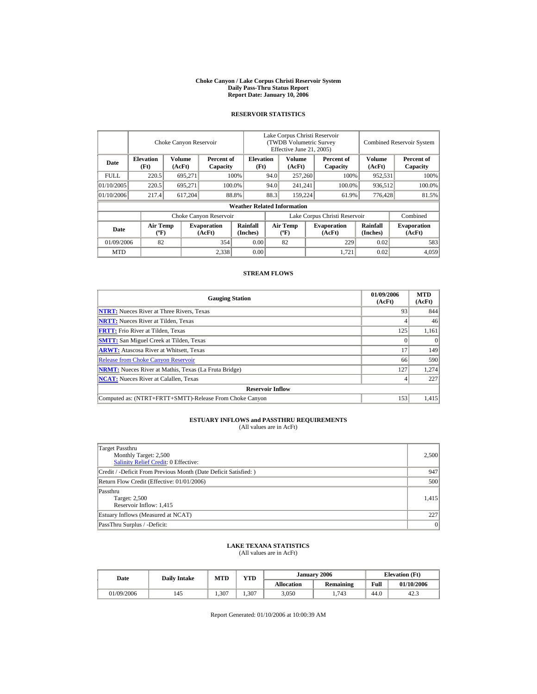#### **Choke Canyon / Lake Corpus Christi Reservoir System Daily Pass-Thru Status Report Report Date: January 10, 2006**

## **RESERVOIR STATISTICS**

|             | Choke Canyon Reservoir                                                        |         |                              |                                    | Lake Corpus Christi Reservoir<br><b>(TWDB Volumetric Survey)</b><br>Effective June 21, 2005) |                                  |                        |                              |                             | <b>Combined Reservoir System</b> |  |  |
|-------------|-------------------------------------------------------------------------------|---------|------------------------------|------------------------------------|----------------------------------------------------------------------------------------------|----------------------------------|------------------------|------------------------------|-----------------------------|----------------------------------|--|--|
| Date        | <b>Volume</b><br><b>Elevation</b><br>Percent of<br>(Ft)<br>(AcFt)<br>Capacity |         | <b>Elevation</b><br>(Ft)     |                                    | <b>Volume</b><br>(AcFt)                                                                      |                                  | Percent of<br>Capacity | Volume<br>(AcFt)             | Percent of<br>Capacity      |                                  |  |  |
| <b>FULL</b> | 220.5                                                                         | 695,271 |                              | 100%                               | 94.0                                                                                         | 257,260                          |                        | 100%                         | 952,531                     | 100%                             |  |  |
| 01/10/2005  | 220.5                                                                         | 695.271 |                              | 100.0%                             | 94.0                                                                                         | 241,241                          |                        | 100.0%                       | 936,512                     | 100.0%                           |  |  |
| 01/10/2006  | 217.4                                                                         | 617,204 |                              | 88.8%                              | 88.3                                                                                         | 159,224                          |                        | 61.9%                        | 776,428                     | 81.5%                            |  |  |
|             |                                                                               |         |                              | <b>Weather Related Information</b> |                                                                                              |                                  |                        |                              |                             |                                  |  |  |
|             |                                                                               |         | Choke Canyon Reservoir       |                                    | Lake Corpus Christi Reservoir                                                                |                                  |                        |                              |                             | Combined                         |  |  |
| Date        | <b>Air Temp</b><br>$({}^{\circ}\mathrm{F})$                                   |         | <b>Evaporation</b><br>(AcFt) | Rainfall<br>(Inches)               |                                                                                              | <b>Air Temp</b><br>$(^{\circ}F)$ |                        | <b>Evaporation</b><br>(AcFt) | <b>Rainfall</b><br>(Inches) | <b>Evaporation</b><br>(AcFt)     |  |  |
| 01/09/2006  | 82                                                                            |         | 354                          | 0.00                               |                                                                                              | 82                               |                        | 229                          | 0.02                        | 583                              |  |  |
| <b>MTD</b>  |                                                                               |         | 2,338                        | 0.00                               |                                                                                              |                                  |                        | 1.721                        | 0.02                        | 4,059                            |  |  |

## **STREAM FLOWS**

| <b>Gauging Station</b>                                       | 01/09/2006<br>(AcFt) | <b>MTD</b><br>(AcFt) |
|--------------------------------------------------------------|----------------------|----------------------|
| <b>NTRT:</b> Nueces River at Three Rivers, Texas             | 93                   | 844                  |
| <b>NRTT:</b> Nueces River at Tilden, Texas                   |                      | 46                   |
| <b>FRTT:</b> Frio River at Tilden, Texas                     | 125                  | 1,161                |
| <b>SMTT:</b> San Miguel Creek at Tilden, Texas               |                      | $\theta$             |
| <b>ARWT:</b> Atascosa River at Whitsett, Texas               | 17                   | 149                  |
| <b>Release from Choke Canyon Reservoir</b>                   | 66                   | 590                  |
| <b>NRMT:</b> Nueces River at Mathis, Texas (La Fruta Bridge) | 127                  | 1,274                |
| <b>NCAT:</b> Nueces River at Calallen, Texas                 |                      | 227                  |
| <b>Reservoir Inflow</b>                                      |                      |                      |
| Computed as: (NTRT+FRTT+SMTT)-Release From Choke Canyon      | 153                  | 1.415                |

# **ESTUARY INFLOWS and PASSTHRU REQUIREMENTS**<br>(All values are in AcFt)

| Target Passthru<br>Monthly Target: 2,500<br><b>Salinity Relief Credit: 0 Effective:</b> | 2,500     |
|-----------------------------------------------------------------------------------------|-----------|
| Credit / -Deficit From Previous Month (Date Deficit Satisfied:)                         | 947       |
| Return Flow Credit (Effective: 01/01/2006)                                              | 500       |
| Passthru<br>Target: 2,500<br>Reservoir Inflow: 1,415                                    | 1,415     |
| Estuary Inflows (Measured at NCAT)                                                      | 227       |
| PassThru Surplus / -Deficit:                                                            | $\vert$ 0 |

## **LAKE TEXANA STATISTICS**

(All values are in AcFt)

| Date       |     | <b>VTD</b><br><b>MTD</b><br><b>Daily Intake</b> |      |                   | January 2006 | <b>Elevation</b> (Ft) |            |
|------------|-----|-------------------------------------------------|------|-------------------|--------------|-----------------------|------------|
|            |     |                                                 |      | <b>Allocation</b> | Remaining    | Full                  | 01/10/2006 |
| 01/09/2006 | 145 | .307                                            | .307 | 3,050             | 1,743        | 44.0                  | 42.3       |

Report Generated: 01/10/2006 at 10:00:39 AM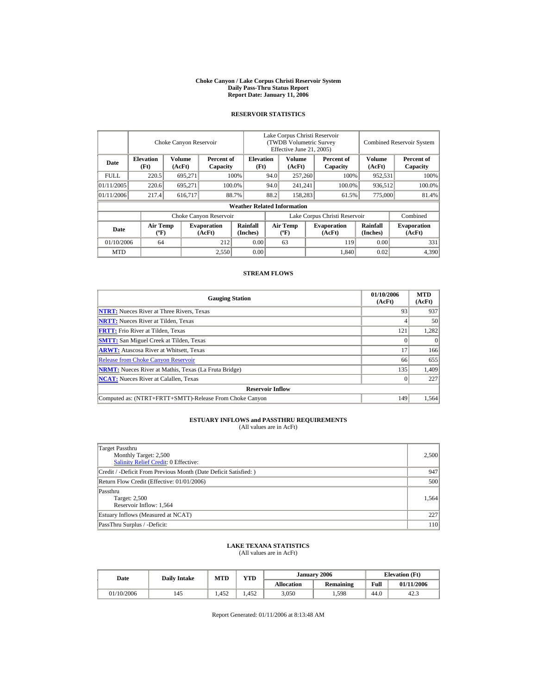#### **Choke Canyon / Lake Corpus Christi Reservoir System Daily Pass-Thru Status Report Report Date: January 11, 2006**

## **RESERVOIR STATISTICS**

|            | Choke Canyon Reservoir                      |                  |                              |                                    | Lake Corpus Christi Reservoir<br>(TWDB Volumetric Survey<br>Effective June 21, 2005) |                                  |  |                              | <b>Combined Reservoir System</b> |                              |  |
|------------|---------------------------------------------|------------------|------------------------------|------------------------------------|--------------------------------------------------------------------------------------|----------------------------------|--|------------------------------|----------------------------------|------------------------------|--|
| Date       | <b>Elevation</b><br>(Ft)                    | Volume<br>(AcFt) | Percent of<br>Capacity       |                                    | <b>Elevation</b><br>(Ft)                                                             | Volume<br>(AcFt)                 |  | Percent of<br>Capacity       | Volume<br>(AcFt)                 | Percent of<br>Capacity       |  |
| FULL.      | 220.5                                       | 695,271          |                              | 100%                               | 94.0                                                                                 | 257,260                          |  | 100%                         | 952,531                          | 100%                         |  |
| 01/11/2005 | 220.6                                       | 695.271          |                              | 100.0%                             | 94.0                                                                                 | 241,241                          |  | 100.0%                       | 936,512                          | 100.0%                       |  |
| 01/11/2006 | 217.4                                       | 616.717          |                              | 88.7%                              | 88.2                                                                                 | 158,283                          |  | 61.5%                        | 775,000                          | 81.4%                        |  |
|            |                                             |                  |                              | <b>Weather Related Information</b> |                                                                                      |                                  |  |                              |                                  |                              |  |
|            |                                             |                  | Choke Canyon Reservoir       |                                    | Lake Corpus Christi Reservoir                                                        |                                  |  |                              |                                  | Combined                     |  |
| Date       | <b>Air Temp</b><br>$({}^{\circ}\mathrm{F})$ |                  | <b>Evaporation</b><br>(AcFt) | Rainfall<br>(Inches)               |                                                                                      | <b>Air Temp</b><br>$(^{\circ}F)$ |  | <b>Evaporation</b><br>(AcFt) | Rainfall<br>(Inches)             | <b>Evaporation</b><br>(AcFt) |  |
| 01/10/2006 | 64                                          |                  | 212                          | 0.00                               |                                                                                      | 63                               |  | 119                          | 0.00                             | 331                          |  |
| <b>MTD</b> |                                             |                  | 2,550                        | 0.00                               |                                                                                      |                                  |  | 1.840                        | 0.02                             | 4,390                        |  |

## **STREAM FLOWS**

| <b>Gauging Station</b>                                       | 01/10/2006<br>(AcFt) | <b>MTD</b><br>(AcFt) |
|--------------------------------------------------------------|----------------------|----------------------|
| <b>NTRT:</b> Nueces River at Three Rivers, Texas             | 93                   | 937                  |
| <b>NRTT:</b> Nueces River at Tilden, Texas                   |                      | 50                   |
| <b>FRTT:</b> Frio River at Tilden, Texas                     | 121                  | 1,282                |
| <b>SMTT:</b> San Miguel Creek at Tilden, Texas               |                      | $\theta$             |
| <b>ARWT:</b> Atascosa River at Whitsett, Texas               | 17                   | 166                  |
| <b>Release from Choke Canyon Reservoir</b>                   | 66                   | 655                  |
| <b>NRMT:</b> Nueces River at Mathis, Texas (La Fruta Bridge) | 135                  | 1,409                |
| <b>NCAT:</b> Nueces River at Calallen, Texas                 |                      | 227                  |
| <b>Reservoir Inflow</b>                                      |                      |                      |
| Computed as: (NTRT+FRTT+SMTT)-Release From Choke Canyon      | 149                  | 1.564                |

# **ESTUARY INFLOWS and PASSTHRU REQUIREMENTS**<br>(All values are in AcFt)

| Target Passthru<br>Monthly Target: 2,500<br><b>Salinity Relief Credit: 0 Effective:</b> | 2,500 |
|-----------------------------------------------------------------------------------------|-------|
| Credit / -Deficit From Previous Month (Date Deficit Satisfied:)                         | 947   |
| Return Flow Credit (Effective: 01/01/2006)                                              | 500   |
| Passthru<br>Target: 2,500<br>Reservoir Inflow: 1,564                                    | 1.564 |
| Estuary Inflows (Measured at NCAT)                                                      | 227   |
| PassThru Surplus / -Deficit:                                                            | 110   |

## **LAKE TEXANA STATISTICS**

(All values are in AcFt)

| Date       | <b>Daily Intake</b> | <b>MTD</b> | <b>VTD</b> |                   | January 2006 | <b>Elevation</b> (Ft) |            |  |
|------------|---------------------|------------|------------|-------------------|--------------|-----------------------|------------|--|
|            |                     |            |            | <b>Allocation</b> | Remaining    | Full                  | 01/11/2006 |  |
| 01/10/2006 | 145                 | .452       | .452       | 3,050             | 1,598        | 44.0                  | 42.3       |  |

Report Generated: 01/11/2006 at 8:13:48 AM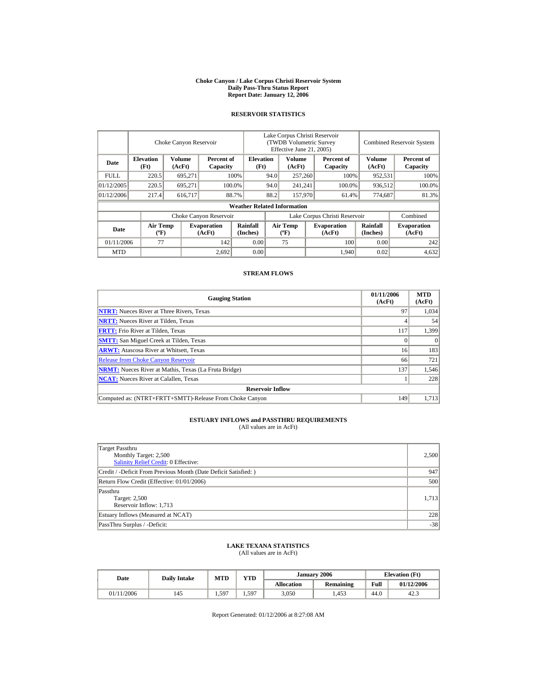#### **Choke Canyon / Lake Corpus Christi Reservoir System Daily Pass-Thru Status Report Report Date: January 12, 2006**

## **RESERVOIR STATISTICS**

|            | Choke Canyon Reservoir                      |                  |                              |                                    | Lake Corpus Christi Reservoir<br>(TWDB Volumetric Survey<br>Effective June 21, 2005) |                                  |  |                              | <b>Combined Reservoir System</b> |                              |  |
|------------|---------------------------------------------|------------------|------------------------------|------------------------------------|--------------------------------------------------------------------------------------|----------------------------------|--|------------------------------|----------------------------------|------------------------------|--|
| Date       | <b>Elevation</b><br>(Ft)                    | Volume<br>(AcFt) | Percent of<br>Capacity       |                                    | <b>Elevation</b><br>(Ft)                                                             | Volume<br>(AcFt)                 |  | Percent of<br>Capacity       | Volume<br>(AcFt)                 | Percent of<br>Capacity       |  |
| FULL.      | 220.5                                       | 695,271          |                              | 100%                               | 94.0                                                                                 | 257,260                          |  | 100%                         | 952,531                          | 100%                         |  |
| 01/12/2005 | 220.5                                       | 695.271          |                              | 100.0%                             | 94.0                                                                                 | 241,241                          |  | 100.0%                       | 936,512                          | 100.0%                       |  |
| 01/12/2006 | 217.4                                       | 616.717          |                              | 88.7%                              | 88.2                                                                                 | 157,970                          |  | 61.4%                        | 774,687                          | 81.3%                        |  |
|            |                                             |                  |                              | <b>Weather Related Information</b> |                                                                                      |                                  |  |                              |                                  |                              |  |
|            |                                             |                  | Choke Canyon Reservoir       |                                    | Lake Corpus Christi Reservoir                                                        |                                  |  |                              |                                  | Combined                     |  |
| Date       | <b>Air Temp</b><br>$({}^{\circ}\mathrm{F})$ |                  | <b>Evaporation</b><br>(AcFt) | Rainfall<br>(Inches)               |                                                                                      | <b>Air Temp</b><br>$(^{\circ}F)$ |  | <b>Evaporation</b><br>(AcFt) | Rainfall<br>(Inches)             | <b>Evaporation</b><br>(AcFt) |  |
| 01/11/2006 | 77                                          |                  | 142                          | 0.00                               |                                                                                      | 75                               |  | 100                          | 0.00                             | 242                          |  |
| <b>MTD</b> |                                             |                  | 2.692                        | 0.00                               |                                                                                      |                                  |  | 1,940                        | 0.02                             | 4,632                        |  |

## **STREAM FLOWS**

| <b>Gauging Station</b>                                       | 01/11/2006<br>(AcFt) | <b>MTD</b><br>(AcFt) |
|--------------------------------------------------------------|----------------------|----------------------|
| <b>NTRT:</b> Nueces River at Three Rivers, Texas             | 97                   | 1,034                |
| <b>NRTT:</b> Nueces River at Tilden, Texas                   |                      | 54                   |
| <b>FRTT:</b> Frio River at Tilden, Texas                     | 117                  | 1,399                |
| <b>SMTT:</b> San Miguel Creek at Tilden, Texas               |                      | $\Omega$             |
| <b>ARWT:</b> Atascosa River at Whitsett, Texas               | 16                   | 183                  |
| <b>Release from Choke Canyon Reservoir</b>                   | 66                   | 721                  |
| <b>NRMT:</b> Nueces River at Mathis, Texas (La Fruta Bridge) | 137                  | 1,546                |
| <b>NCAT:</b> Nueces River at Calallen, Texas                 |                      | 228                  |
| <b>Reservoir Inflow</b>                                      |                      |                      |
| Computed as: (NTRT+FRTT+SMTT)-Release From Choke Canyon      | 149                  | 1,713                |

# **ESTUARY INFLOWS and PASSTHRU REQUIREMENTS**<br>(All values are in AcFt)

| Target Passthru<br>Monthly Target: 2,500<br><b>Salinity Relief Credit: 0 Effective:</b> | 2,500 |
|-----------------------------------------------------------------------------------------|-------|
| Credit / -Deficit From Previous Month (Date Deficit Satisfied:)                         | 947   |
| Return Flow Credit (Effective: 01/01/2006)                                              | 500   |
| Passthru<br>Target: 2,500<br>Reservoir Inflow: 1,713                                    | 1,713 |
| Estuary Inflows (Measured at NCAT)                                                      | 228   |
| PassThru Surplus / -Deficit:                                                            | $-38$ |

## **LAKE TEXANA STATISTICS**

(All values are in AcFt)

| Date       | <b>Daily Intake</b> | MTD        | <b>YTD</b> |                   | January 2006     | <b>Elevation</b> (Ft) |            |  |
|------------|---------------------|------------|------------|-------------------|------------------|-----------------------|------------|--|
|            |                     |            |            | <b>Allocation</b> | <b>Remaining</b> | Full                  | 01/12/2006 |  |
| 01/11/2006 | 145                 | .597<br>ن. | .597       | 3,050             | 1.453            | 44.0                  | 42.3       |  |

Report Generated: 01/12/2006 at 8:27:08 AM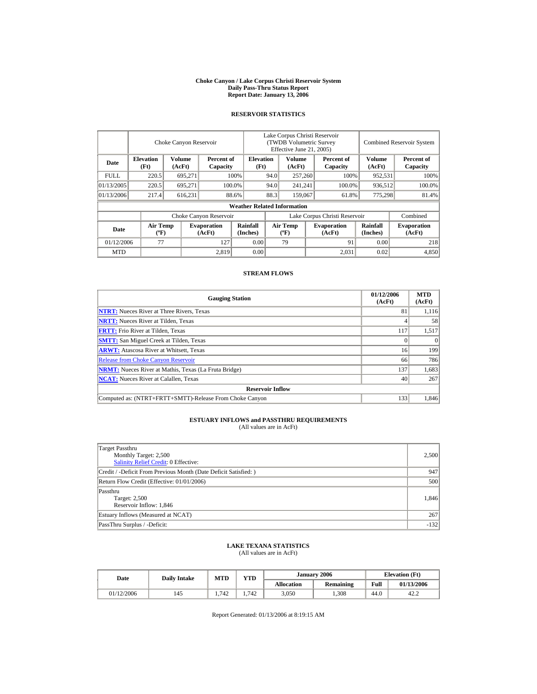#### **Choke Canyon / Lake Corpus Christi Reservoir System Daily Pass-Thru Status Report Report Date: January 13, 2006**

## **RESERVOIR STATISTICS**

|            | Choke Canyon Reservoir                      |                  |                              |                                    | Lake Corpus Christi Reservoir<br>(TWDB Volumetric Survey<br>Effective June 21, 2005) |                                  |  |                              | <b>Combined Reservoir System</b> |                              |  |
|------------|---------------------------------------------|------------------|------------------------------|------------------------------------|--------------------------------------------------------------------------------------|----------------------------------|--|------------------------------|----------------------------------|------------------------------|--|
| Date       | <b>Elevation</b><br>(Ft)                    | Volume<br>(AcFt) | Percent of<br>Capacity       |                                    | <b>Elevation</b><br>(Ft)                                                             | Volume<br>(AcFt)                 |  | Percent of<br>Capacity       | Volume<br>(AcFt)                 | Percent of<br>Capacity       |  |
| FULL.      | 220.5                                       | 695,271          |                              | 100%                               | 94.0                                                                                 | 257,260                          |  | 100%                         | 952,531                          | 100%                         |  |
| 01/13/2005 | 220.5                                       | 695.271          |                              | 100.0%                             | 94.0                                                                                 | 241,241                          |  | 100.0%                       | 936,512                          | 100.0%                       |  |
| 01/13/2006 | 217.4                                       | 616,231          |                              | 88.6%                              | 88.3                                                                                 | 159,067                          |  | 61.8%                        | 775,298                          | 81.4%                        |  |
|            |                                             |                  |                              | <b>Weather Related Information</b> |                                                                                      |                                  |  |                              |                                  |                              |  |
|            |                                             |                  | Choke Canyon Reservoir       |                                    | Lake Corpus Christi Reservoir                                                        |                                  |  |                              |                                  | Combined                     |  |
| Date       | <b>Air Temp</b><br>$({}^{\circ}\mathrm{F})$ |                  | <b>Evaporation</b><br>(AcFt) | Rainfall<br>(Inches)               |                                                                                      | <b>Air Temp</b><br>$(^{\circ}F)$ |  | <b>Evaporation</b><br>(AcFt) | Rainfall<br>(Inches)             | <b>Evaporation</b><br>(AcFt) |  |
| 01/12/2006 | 77                                          |                  | 127                          | 0.00                               |                                                                                      | 79                               |  | 91                           | 0.00                             | 218                          |  |
| <b>MTD</b> |                                             |                  | 2,819                        | 0.00                               |                                                                                      |                                  |  | 2.031                        | 0.02                             | 4,850                        |  |

## **STREAM FLOWS**

| <b>Gauging Station</b>                                       | 01/12/2006<br>(AcFt) | <b>MTD</b><br>(AcFt) |
|--------------------------------------------------------------|----------------------|----------------------|
| <b>NTRT:</b> Nueces River at Three Rivers, Texas             | 81                   | 1.116                |
| <b>NRTT:</b> Nueces River at Tilden, Texas                   |                      | 58                   |
| <b>FRTT:</b> Frio River at Tilden, Texas                     | 117                  | 1,517                |
| <b>SMTT:</b> San Miguel Creek at Tilden, Texas               |                      | $\Omega$             |
| <b>ARWT:</b> Atascosa River at Whitsett, Texas               | 16                   | 199                  |
| <b>Release from Choke Canyon Reservoir</b>                   | 66                   | 786                  |
| <b>NRMT:</b> Nueces River at Mathis, Texas (La Fruta Bridge) | 137                  | 1,683                |
| <b>NCAT:</b> Nueces River at Calallen. Texas                 | 40                   | 267                  |
| <b>Reservoir Inflow</b>                                      |                      |                      |
| Computed as: (NTRT+FRTT+SMTT)-Release From Choke Canyon      | 133                  | 1.846                |

# **ESTUARY INFLOWS and PASSTHRU REQUIREMENTS**<br>(All values are in AcFt)

| Target Passthru<br>Monthly Target: 2,500<br><b>Salinity Relief Credit: 0 Effective:</b> | 2,500  |
|-----------------------------------------------------------------------------------------|--------|
| Credit / -Deficit From Previous Month (Date Deficit Satisfied:)                         | 947    |
| Return Flow Credit (Effective: 01/01/2006)                                              | 500    |
| Passthru<br>Target: 2,500<br>Reservoir Inflow: 1,846                                    | 1.846  |
| Estuary Inflows (Measured at NCAT)                                                      | 267    |
| PassThru Surplus / -Deficit:                                                            | $-132$ |

## **LAKE TEXANA STATISTICS**

(All values are in AcFt)

| Date       | <b>Daily Intake</b> | MTD | <b>YTD</b> |                   | January 2006     | <b>Elevation</b> (Ft) |            |
|------------|---------------------|-----|------------|-------------------|------------------|-----------------------|------------|
|            |                     |     |            | <b>Allocation</b> | <b>Remaining</b> | Full                  | 01/13/2006 |
| 01/12/2006 | 145                 | 742 | .742       | 3,050             | ,308             | 44.0                  | 42.2       |

Report Generated: 01/13/2006 at 8:19:15 AM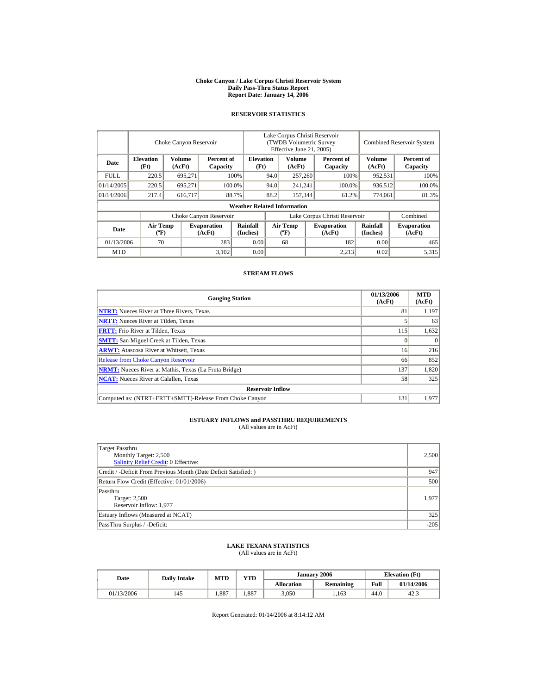#### **Choke Canyon / Lake Corpus Christi Reservoir System Daily Pass-Thru Status Report Report Date: January 14, 2006**

## **RESERVOIR STATISTICS**

|             | Choke Canyon Reservoir                      |                  |                              |                                    | Lake Corpus Christi Reservoir<br>(TWDB Volumetric Survey<br>Effective June 21, 2005) |                                  |  |                              |                             | <b>Combined Reservoir System</b> |  |  |
|-------------|---------------------------------------------|------------------|------------------------------|------------------------------------|--------------------------------------------------------------------------------------|----------------------------------|--|------------------------------|-----------------------------|----------------------------------|--|--|
| Date        | <b>Elevation</b><br>(Ft)                    | Volume<br>(AcFt) | Percent of<br>Capacity       |                                    | <b>Elevation</b><br>(Ft)                                                             | Volume<br>(AcFt)                 |  | Percent of<br>Capacity       | Volume<br>(AcFt)            | Percent of<br>Capacity           |  |  |
| <b>FULL</b> | 220.5                                       | 695,271          |                              | 100%                               | 94.0                                                                                 | 257,260                          |  | 100%                         | 952,531                     | 100%                             |  |  |
| 01/14/2005  | 220.5                                       | 695.271          |                              | 100.0%                             | 94.0                                                                                 | 241,241                          |  | 100.0%                       | 936,512                     | 100.0%                           |  |  |
| 01/14/2006  | 217.4                                       | 616.717          |                              | 88.7%                              | 88.2                                                                                 | 157,344                          |  | 61.2%                        | 774,061                     | 81.3%                            |  |  |
|             |                                             |                  |                              | <b>Weather Related Information</b> |                                                                                      |                                  |  |                              |                             |                                  |  |  |
|             |                                             |                  | Choke Canyon Reservoir       |                                    | Lake Corpus Christi Reservoir                                                        |                                  |  |                              |                             | Combined                         |  |  |
| Date        | <b>Air Temp</b><br>$({}^{\circ}\mathrm{F})$ |                  | <b>Evaporation</b><br>(AcFt) | Rainfall<br>(Inches)               |                                                                                      | <b>Air Temp</b><br>$(^{\circ}F)$ |  | <b>Evaporation</b><br>(AcFt) | <b>Rainfall</b><br>(Inches) | <b>Evaporation</b><br>(AcFt)     |  |  |
| 01/13/2006  | 70                                          |                  | 283                          | 0.00                               |                                                                                      | 68                               |  | 182                          | 0.00                        | 465                              |  |  |
| <b>MTD</b>  |                                             |                  | 3,102                        | 0.00                               |                                                                                      |                                  |  | 2.213                        | 0.02                        | 5,315                            |  |  |

## **STREAM FLOWS**

| <b>Gauging Station</b>                                       | 01/13/2006<br>(AcFt) | <b>MTD</b><br>(AcFt) |
|--------------------------------------------------------------|----------------------|----------------------|
| <b>NTRT:</b> Nueces River at Three Rivers, Texas             | 81                   | 1,197                |
| <b>NRTT:</b> Nueces River at Tilden, Texas                   |                      | 63                   |
| <b>FRTT:</b> Frio River at Tilden, Texas                     | 115                  | 1,632                |
| <b>SMTT:</b> San Miguel Creek at Tilden, Texas               |                      | $\Omega$             |
| <b>ARWT:</b> Atascosa River at Whitsett, Texas               | 16                   | 216                  |
| <b>Release from Choke Canyon Reservoir</b>                   | 66                   | 852                  |
| <b>NRMT:</b> Nueces River at Mathis, Texas (La Fruta Bridge) | 137                  | 1,820                |
| <b>NCAT:</b> Nueces River at Calallen. Texas                 | 58                   | 325                  |
| <b>Reservoir Inflow</b>                                      |                      |                      |
| Computed as: (NTRT+FRTT+SMTT)-Release From Choke Canyon      | 131                  | 1.977                |

# **ESTUARY INFLOWS and PASSTHRU REQUIREMENTS**<br>(All values are in AcFt)

| Target Passthru<br>Monthly Target: 2,500<br><b>Salinity Relief Credit: 0 Effective:</b> | 2,500  |
|-----------------------------------------------------------------------------------------|--------|
| Credit / -Deficit From Previous Month (Date Deficit Satisfied:)                         | 947    |
| Return Flow Credit (Effective: 01/01/2006)                                              | 500    |
| Passthru<br>Target: 2,500<br>Reservoir Inflow: 1,977                                    | 1.977  |
| Estuary Inflows (Measured at NCAT)                                                      | 325    |
| PassThru Surplus / -Deficit:                                                            | $-205$ |

## **LAKE TEXANA STATISTICS**

(All values are in AcFt)

| Date       | <b>Daily Intake</b> | <b>MTD</b> | <b>VTD</b> |                   | January 2006 |      | <b>Elevation</b> (Ft) |
|------------|---------------------|------------|------------|-------------------|--------------|------|-----------------------|
|            |                     |            |            | <b>Allocation</b> | Remaining    | Full | 01/14/2006            |
| 01/13/2006 | 145                 | .887       | .887       | 3,050             | 1,163        | 44.0 | 42.3                  |

Report Generated: 01/14/2006 at 8:14:12 AM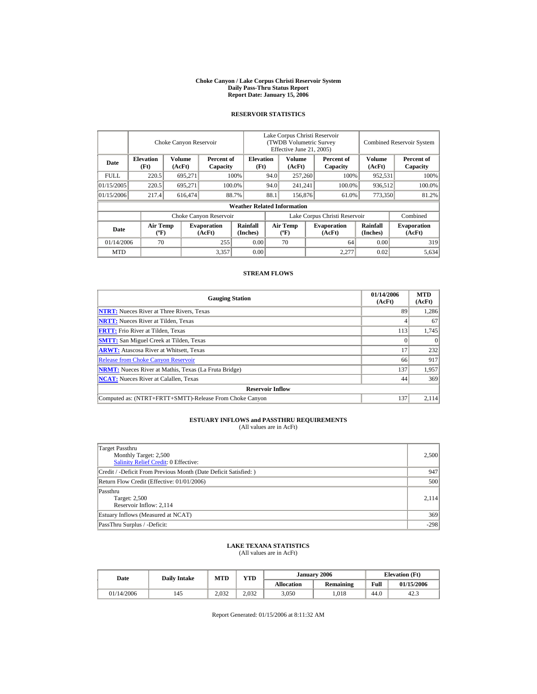#### **Choke Canyon / Lake Corpus Christi Reservoir System Daily Pass-Thru Status Report Report Date: January 15, 2006**

## **RESERVOIR STATISTICS**

|             | Choke Canyon Reservoir                      |                  |                              |                                    | Lake Corpus Christi Reservoir<br>(TWDB Volumetric Survey<br>Effective June 21, 2005) |                                  |  |                              |                      | <b>Combined Reservoir System</b> |  |  |
|-------------|---------------------------------------------|------------------|------------------------------|------------------------------------|--------------------------------------------------------------------------------------|----------------------------------|--|------------------------------|----------------------|----------------------------------|--|--|
| Date        | <b>Elevation</b><br>(Ft)                    | Volume<br>(AcFt) | Percent of<br>Capacity       |                                    | <b>Elevation</b><br>(Ft)                                                             | Volume<br>(AcFt)                 |  | Percent of<br>Capacity       | Volume<br>(AcFt)     | Percent of<br>Capacity           |  |  |
| <b>FULL</b> | 220.5                                       | 695,271          |                              | 100%                               | 94.0                                                                                 | 257,260                          |  | 100%                         | 952,531              | 100%                             |  |  |
| 01/15/2005  | 220.5                                       | 695.271          |                              | 100.0%                             | 94.0                                                                                 | 241,241                          |  | 100.0%                       | 936,512              | 100.0%                           |  |  |
| 01/15/2006  | 217.4                                       | 616,474          |                              | 88.7%                              | 88.1                                                                                 | 156,876                          |  | 61.0%                        | 773,350              | 81.2%                            |  |  |
|             |                                             |                  |                              | <b>Weather Related Information</b> |                                                                                      |                                  |  |                              |                      |                                  |  |  |
|             |                                             |                  | Choke Canyon Reservoir       |                                    | Lake Corpus Christi Reservoir                                                        |                                  |  |                              |                      | Combined                         |  |  |
| Date        | <b>Air Temp</b><br>$({}^{\circ}\mathrm{F})$ |                  | <b>Evaporation</b><br>(AcFt) | Rainfall<br>(Inches)               |                                                                                      | <b>Air Temp</b><br>$(^{\circ}F)$ |  | <b>Evaporation</b><br>(AcFt) | Rainfall<br>(Inches) | <b>Evaporation</b><br>(AcFt)     |  |  |
| 01/14/2006  | 70                                          |                  | 255                          | 0.00                               |                                                                                      | 70                               |  | 64                           | 0.00                 | 319                              |  |  |
| <b>MTD</b>  |                                             |                  | 3,357                        | 0.00                               |                                                                                      |                                  |  | 2,277                        | 0.02                 | 5,634                            |  |  |

## **STREAM FLOWS**

| <b>Gauging Station</b>                                       | 01/14/2006<br>(AcFt) | <b>MTD</b><br>(AcFt) |
|--------------------------------------------------------------|----------------------|----------------------|
| <b>NTRT:</b> Nueces River at Three Rivers, Texas             | 89                   | 1,286                |
| <b>NRTT:</b> Nueces River at Tilden, Texas                   |                      | 67                   |
| <b>FRTT:</b> Frio River at Tilden, Texas                     | 113                  | 1,745                |
| <b>SMTT:</b> San Miguel Creek at Tilden, Texas               |                      | $\theta$             |
| <b>ARWT:</b> Atascosa River at Whitsett, Texas               | 17                   | 232                  |
| <b>Release from Choke Canyon Reservoir</b>                   | 66                   | 917                  |
| <b>NRMT:</b> Nueces River at Mathis, Texas (La Fruta Bridge) | 137                  | 1,957                |
| <b>NCAT:</b> Nueces River at Calallen, Texas                 | 44                   | 369                  |
| <b>Reservoir Inflow</b>                                      |                      |                      |
| Computed as: (NTRT+FRTT+SMTT)-Release From Choke Canyon      | 137                  | 2.114                |

# **ESTUARY INFLOWS and PASSTHRU REQUIREMENTS**<br>(All values are in AcFt)

| Target Passthru<br>Monthly Target: 2,500<br><b>Salinity Relief Credit: 0 Effective:</b> | 2,500  |
|-----------------------------------------------------------------------------------------|--------|
| Credit / -Deficit From Previous Month (Date Deficit Satisfied:)                         | 947    |
| Return Flow Credit (Effective: 01/01/2006)                                              | 500    |
| Passthru<br>Target: 2,500<br>Reservoir Inflow: 2,114                                    | 2.114  |
| Estuary Inflows (Measured at NCAT)                                                      | 369    |
| PassThru Surplus / -Deficit:                                                            | $-298$ |

## **LAKE TEXANA STATISTICS**

(All values are in AcFt)

| Date       | <b>Daily Intake</b> | MTD   | <b>YTD</b> |                   | January 2006     | <b>Elevation</b> (Ft) |            |  |
|------------|---------------------|-------|------------|-------------------|------------------|-----------------------|------------|--|
|            |                     |       |            | <b>Allocation</b> | <b>Remaining</b> | Full                  | 01/15/2006 |  |
| 01/14/2006 | 145                 | 2.032 | 2.032      | 3,050             | .018             | 44.0                  | 42.3       |  |

Report Generated: 01/15/2006 at 8:11:32 AM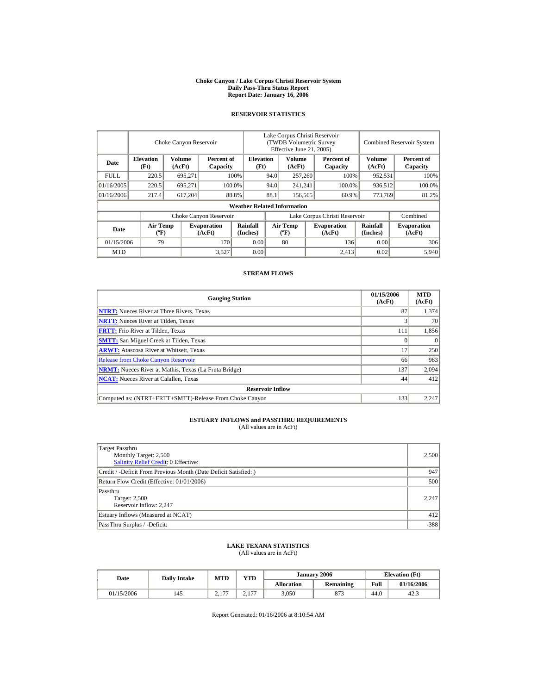#### **Choke Canyon / Lake Corpus Christi Reservoir System Daily Pass-Thru Status Report Report Date: January 16, 2006**

## **RESERVOIR STATISTICS**

|             | Choke Canyon Reservoir                      |                                            |                              |                                    | Lake Corpus Christi Reservoir<br>(TWDB Volumetric Survey<br>Effective June 21, 2005) |                                  |  |                              |                             | <b>Combined Reservoir System</b> |  |  |
|-------------|---------------------------------------------|--------------------------------------------|------------------------------|------------------------------------|--------------------------------------------------------------------------------------|----------------------------------|--|------------------------------|-----------------------------|----------------------------------|--|--|
| Date        | <b>Elevation</b><br>(Ft)                    | Volume<br>Percent of<br>(AcFt)<br>Capacity |                              | <b>Elevation</b><br>(Ft)           |                                                                                      | Volume<br>(AcFt)                 |  | Percent of<br>Capacity       | Volume<br>(AcFt)            | Percent of<br>Capacity           |  |  |
| <b>FULL</b> | 220.5                                       | 695,271                                    |                              | 100%                               | 94.0                                                                                 | 257,260                          |  | 100%                         | 952,531                     | 100%                             |  |  |
| 01/16/2005  | 220.5                                       | 695.271                                    |                              | 100.0%                             | 94.0                                                                                 | 241,241                          |  | 100.0%                       | 936,512                     | 100.0%                           |  |  |
| 01/16/2006  | 217.4                                       | 617,204                                    |                              | 88.8%                              | 88.1                                                                                 | 156,565                          |  | 60.9%                        | 773,769                     | 81.2%                            |  |  |
|             |                                             |                                            |                              | <b>Weather Related Information</b> |                                                                                      |                                  |  |                              |                             |                                  |  |  |
|             |                                             |                                            | Choke Canyon Reservoir       |                                    | Lake Corpus Christi Reservoir                                                        |                                  |  |                              |                             | Combined                         |  |  |
| Date        | <b>Air Temp</b><br>$({}^{\circ}\mathrm{F})$ |                                            | <b>Evaporation</b><br>(AcFt) | Rainfall<br>(Inches)               |                                                                                      | <b>Air Temp</b><br>$(^{\circ}F)$ |  | <b>Evaporation</b><br>(AcFt) | <b>Rainfall</b><br>(Inches) | <b>Evaporation</b><br>(AcFt)     |  |  |
| 01/15/2006  | 79                                          |                                            | 170                          | 0.00                               |                                                                                      | 80                               |  | 136                          | 0.00                        | 306                              |  |  |
| <b>MTD</b>  |                                             |                                            | 3,527                        | 0.00                               |                                                                                      |                                  |  | 2.413                        | 0.02                        | 5.940                            |  |  |

## **STREAM FLOWS**

| <b>Gauging Station</b>                                       | 01/15/2006<br>(AcFt) | <b>MTD</b><br>(AcFt) |
|--------------------------------------------------------------|----------------------|----------------------|
| <b>NTRT:</b> Nueces River at Three Rivers, Texas             | 87                   | 1,374                |
| <b>NRTT:</b> Nueces River at Tilden, Texas                   |                      | 70                   |
| <b>FRTT:</b> Frio River at Tilden, Texas                     | 111                  | 1,856                |
| <b>SMTT:</b> San Miguel Creek at Tilden, Texas               |                      | $\Omega$             |
| <b>ARWT:</b> Atascosa River at Whitsett, Texas               | 17                   | 250                  |
| <b>Release from Choke Canyon Reservoir</b>                   | 66                   | 983                  |
| <b>NRMT:</b> Nueces River at Mathis, Texas (La Fruta Bridge) | 137                  | 2,094                |
| <b>NCAT:</b> Nueces River at Calallen, Texas                 | 44                   | 412                  |
| <b>Reservoir Inflow</b>                                      |                      |                      |
| Computed as: (NTRT+FRTT+SMTT)-Release From Choke Canyon      | 133                  | 2,247                |

# **ESTUARY INFLOWS and PASSTHRU REQUIREMENTS**<br>(All values are in AcFt)

| Target Passthru<br>Monthly Target: 2,500<br><b>Salinity Relief Credit: 0 Effective:</b> | 2,500  |
|-----------------------------------------------------------------------------------------|--------|
| Credit / -Deficit From Previous Month (Date Deficit Satisfied:)                         | 947    |
| Return Flow Credit (Effective: 01/01/2006)                                              | 500    |
| Passthru<br>Target: 2,500<br>Reservoir Inflow: 2,247                                    | 2.247  |
| Estuary Inflows (Measured at NCAT)                                                      | 412    |
| PassThru Surplus / -Deficit:                                                            | $-388$ |

## **LAKE TEXANA STATISTICS**

(All values are in AcFt)

| Date       | <b>Daily Intake</b> | MTD              | <b>YTD</b>       |                   | January 2006     | <b>Elevation</b> (Ft) |            |
|------------|---------------------|------------------|------------------|-------------------|------------------|-----------------------|------------|
|            |                     |                  |                  | <b>Allocation</b> | <b>Remaining</b> | Full                  | 01/16/2006 |
| 01/15/2006 | 145                 | $-1$<br>$\sim$ 1 | 1.77<br><u>.</u> | 3,050             | 873              | 44.0                  | 42.3       |

Report Generated: 01/16/2006 at 8:10:54 AM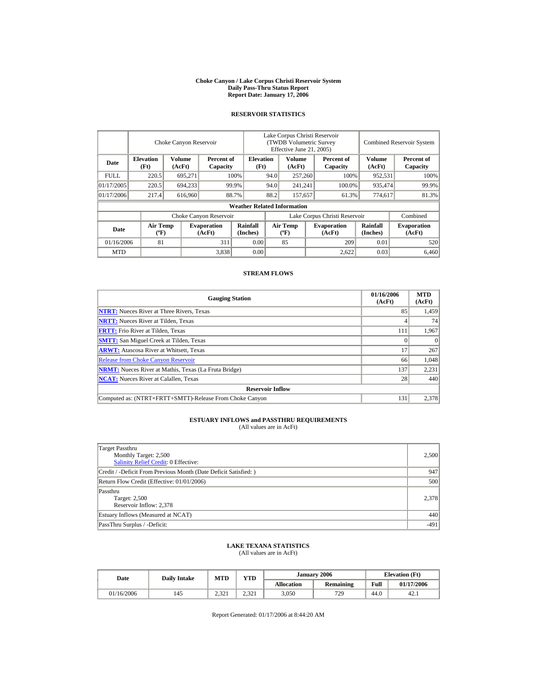#### **Choke Canyon / Lake Corpus Christi Reservoir System Daily Pass-Thru Status Report Report Date: January 17, 2006**

## **RESERVOIR STATISTICS**

|            | Choke Canyon Reservoir                      |                  |                              |                                    | Lake Corpus Christi Reservoir<br>(TWDB Volumetric Survey<br>Effective June 21, 2005) |                                  |  |                              | <b>Combined Reservoir System</b> |                              |  |
|------------|---------------------------------------------|------------------|------------------------------|------------------------------------|--------------------------------------------------------------------------------------|----------------------------------|--|------------------------------|----------------------------------|------------------------------|--|
| Date       | <b>Elevation</b><br>(Ft)                    | Volume<br>(AcFt) | Percent of<br>Capacity       |                                    | <b>Elevation</b><br>(Ft)                                                             | Volume<br>(AcFt)                 |  | Percent of<br>Capacity       | Volume<br>(AcFt)                 | Percent of<br>Capacity       |  |
| FULL.      | 220.5                                       | 695,271          |                              | 100%                               | 94.0                                                                                 | 257,260                          |  | 100%                         | 952,531                          | 100%                         |  |
| 01/17/2005 | 220.5                                       | 694,233          |                              | 99.9%                              | 94.0                                                                                 | 241,241                          |  | 100.0%                       | 935,474                          | 99.9%                        |  |
| 01/17/2006 | 217.4                                       | 616,960          |                              | 88.7%                              | 88.2                                                                                 | 157,657                          |  | 61.3%                        | 774,617                          | 81.3%                        |  |
|            |                                             |                  |                              | <b>Weather Related Information</b> |                                                                                      |                                  |  |                              |                                  |                              |  |
|            |                                             |                  | Choke Canyon Reservoir       |                                    | Lake Corpus Christi Reservoir                                                        |                                  |  |                              |                                  | Combined                     |  |
| Date       | <b>Air Temp</b><br>$({}^{\circ}\mathrm{F})$ |                  | <b>Evaporation</b><br>(AcFt) | Rainfall<br>(Inches)               |                                                                                      | <b>Air Temp</b><br>$(^{\circ}F)$ |  | <b>Evaporation</b><br>(AcFt) | Rainfall<br>(Inches)             | <b>Evaporation</b><br>(AcFt) |  |
| 01/16/2006 | 81                                          |                  | 311                          | 0.00                               |                                                                                      | 85                               |  | 209                          | 0.01                             | 520                          |  |
| <b>MTD</b> |                                             |                  | 3,838                        | 0.00                               |                                                                                      |                                  |  | 2.622                        | 0.03                             | 6.460                        |  |

## **STREAM FLOWS**

| <b>Gauging Station</b>                                       | 01/16/2006<br>(AcFt) | <b>MTD</b><br>(AcFt) |
|--------------------------------------------------------------|----------------------|----------------------|
| <b>NTRT:</b> Nueces River at Three Rivers, Texas             | 85                   | 1,459                |
| <b>NRTT:</b> Nueces River at Tilden, Texas                   |                      | 74                   |
| <b>FRTT:</b> Frio River at Tilden, Texas                     | 111                  | 1,967                |
| <b>SMTT:</b> San Miguel Creek at Tilden, Texas               |                      | $\Omega$             |
| <b>ARWT:</b> Atascosa River at Whitsett, Texas               | 17                   | 267                  |
| <b>Release from Choke Canyon Reservoir</b>                   | 66                   | 1.048                |
| <b>NRMT:</b> Nueces River at Mathis, Texas (La Fruta Bridge) | 137                  | 2,231                |
| <b>NCAT:</b> Nueces River at Calallen, Texas                 | 28                   | 440                  |
| <b>Reservoir Inflow</b>                                      |                      |                      |
| Computed as: (NTRT+FRTT+SMTT)-Release From Choke Canyon      | 131                  | 2,378                |

# **ESTUARY INFLOWS and PASSTHRU REQUIREMENTS**<br>(All values are in AcFt)

| Target Passthru<br>Monthly Target: 2,500<br><b>Salinity Relief Credit: 0 Effective:</b> | 2,500  |
|-----------------------------------------------------------------------------------------|--------|
| Credit / -Deficit From Previous Month (Date Deficit Satisfied:)                         | 947    |
| Return Flow Credit (Effective: 01/01/2006)                                              | 500    |
| Passthru<br>Target: 2,500<br>Reservoir Inflow: 2,378                                    | 2,378  |
| Estuary Inflows (Measured at NCAT)                                                      | 440    |
| PassThru Surplus / -Deficit:                                                            | $-491$ |

## **LAKE TEXANA STATISTICS**

(All values are in AcFt)

| Date       | <b>Daily Intake</b> | <b>MTD</b> | <b>VTD</b>  |                   | January 2006 |      | <b>Elevation</b> (Ft) |
|------------|---------------------|------------|-------------|-------------------|--------------|------|-----------------------|
|            |                     |            |             | <b>Allocation</b> | Remaining    | Full | 01/17/2006            |
| 01/16/2006 | 145                 | 2.321      | 22<br>2.321 | 3,050             | 729          | 44.0 | 42.1                  |

Report Generated: 01/17/2006 at 8:44:20 AM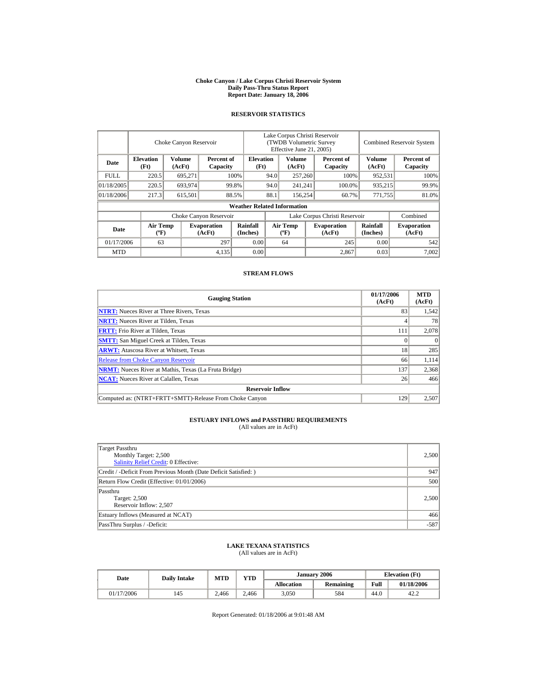#### **Choke Canyon / Lake Corpus Christi Reservoir System Daily Pass-Thru Status Report Report Date: January 18, 2006**

## **RESERVOIR STATISTICS**

|             | Choke Canyon Reservoir                                                 |         |                              |                                    | Lake Corpus Christi Reservoir<br>(TWDB Volumetric Survey<br>Effective June 21, 2005) |                                  |                        |                              |                        | <b>Combined Reservoir System</b> |  |  |
|-------------|------------------------------------------------------------------------|---------|------------------------------|------------------------------------|--------------------------------------------------------------------------------------|----------------------------------|------------------------|------------------------------|------------------------|----------------------------------|--|--|
| Date        | <b>Elevation</b><br>Volume<br>Percent of<br>(Ft)<br>(AcFt)<br>Capacity |         | <b>Elevation</b><br>(Ft)     |                                    | Volume<br>(AcFt)                                                                     |                                  | Percent of<br>Capacity | Volume<br>(AcFt)             | Percent of<br>Capacity |                                  |  |  |
| <b>FULL</b> | 220.5                                                                  | 695,271 |                              | 100%                               | 94.0                                                                                 | 257,260                          |                        | 100%                         | 952,531                | 100%                             |  |  |
| 01/18/2005  | 220.5                                                                  | 693,974 |                              | 99.8%                              | 94.0                                                                                 | 241,241                          |                        | 100.0%                       | 935,215                | 99.9%                            |  |  |
| 01/18/2006  | 217.3                                                                  | 615,501 |                              | 88.5%                              | 88.1                                                                                 | 156,254                          |                        | 60.7%                        | 771,755                | 81.0%                            |  |  |
|             |                                                                        |         |                              | <b>Weather Related Information</b> |                                                                                      |                                  |                        |                              |                        |                                  |  |  |
|             |                                                                        |         | Choke Canyon Reservoir       |                                    | Lake Corpus Christi Reservoir                                                        |                                  |                        |                              |                        | Combined                         |  |  |
| Date        | <b>Air Temp</b><br>$({}^{\circ}\mathrm{F})$                            |         | <b>Evaporation</b><br>(AcFt) | Rainfall<br>(Inches)               |                                                                                      | <b>Air Temp</b><br>$(^{\circ}F)$ |                        | <b>Evaporation</b><br>(AcFt) | Rainfall<br>(Inches)   | <b>Evaporation</b><br>(AcFt)     |  |  |
| 01/17/2006  | 63                                                                     |         | 297                          | 0.00                               |                                                                                      | 64                               |                        | 245                          | 0.00                   | 542                              |  |  |
| <b>MTD</b>  |                                                                        |         | 4,135                        | 0.00                               |                                                                                      |                                  |                        | 2.867                        | 0.03                   | 7.002                            |  |  |

## **STREAM FLOWS**

| <b>Gauging Station</b>                                       | 01/17/2006<br>(AcFt) | <b>MTD</b><br>(AcFt) |
|--------------------------------------------------------------|----------------------|----------------------|
| <b>NTRT:</b> Nueces River at Three Rivers, Texas             | 83                   | 1,542                |
| <b>NRTT:</b> Nueces River at Tilden, Texas                   |                      | 78                   |
| <b>FRTT:</b> Frio River at Tilden, Texas                     | 111                  | 2,078                |
| <b>SMTT:</b> San Miguel Creek at Tilden, Texas               |                      | $\theta$             |
| <b>ARWT:</b> Atascosa River at Whitsett, Texas               | 18                   | 285                  |
| <b>Release from Choke Canyon Reservoir</b>                   | 66                   | 1,114                |
| <b>NRMT:</b> Nueces River at Mathis, Texas (La Fruta Bridge) | 137                  | 2,368                |
| <b>NCAT:</b> Nueces River at Calallen, Texas                 | 26                   | 466                  |
| <b>Reservoir Inflow</b>                                      |                      |                      |
| Computed as: (NTRT+FRTT+SMTT)-Release From Choke Canyon      | 129                  | 2,507                |

# **ESTUARY INFLOWS and PASSTHRU REQUIREMENTS**<br>(All values are in AcFt)

| Target Passthru<br>Monthly Target: 2,500<br><b>Salinity Relief Credit: 0 Effective:</b> | 2,500  |
|-----------------------------------------------------------------------------------------|--------|
| Credit / -Deficit From Previous Month (Date Deficit Satisfied:)                         | 947    |
| Return Flow Credit (Effective: 01/01/2006)                                              | 500    |
| Passthru<br>Target: 2,500<br>Reservoir Inflow: 2,507                                    | 2.500  |
| Estuary Inflows (Measured at NCAT)                                                      | 466    |
| PassThru Surplus / -Deficit:                                                            | $-587$ |

## **LAKE TEXANA STATISTICS**

(All values are in AcFt)

| Date       | <b>Daily Intake</b> | <b>MTD</b> | VTD   |                   | January 2006 | <b>Elevation</b> (Ft) |            |
|------------|---------------------|------------|-------|-------------------|--------------|-----------------------|------------|
|            |                     |            |       | <b>Allocation</b> | Remaining    | Full                  | 01/18/2006 |
| 01/17/2006 | 145                 | 2.466      | 2.466 | 3,050             | 584          | 44.0                  | 42.2       |

Report Generated: 01/18/2006 at 9:01:48 AM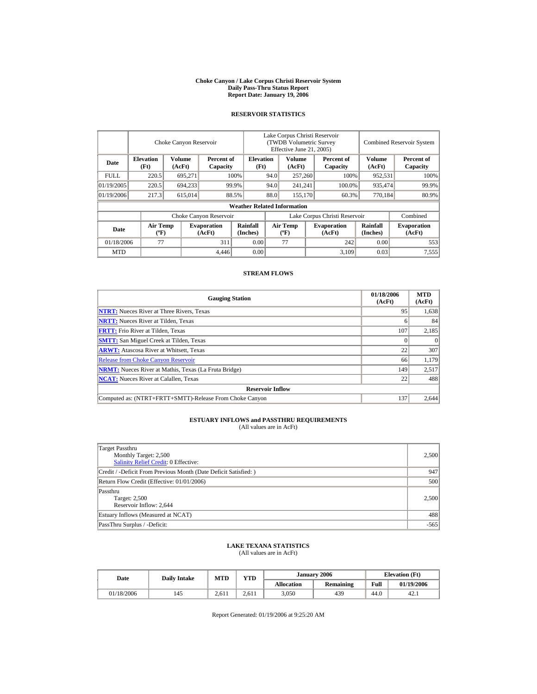#### **Choke Canyon / Lake Corpus Christi Reservoir System Daily Pass-Thru Status Report Report Date: January 19, 2006**

## **RESERVOIR STATISTICS**

|             | Choke Canyon Reservoir                      |                                            |                              |                                    | Lake Corpus Christi Reservoir<br>(TWDB Volumetric Survey<br>Effective June 21, 2005) |                                  |  |                              | <b>Combined Reservoir System</b> |                              |  |
|-------------|---------------------------------------------|--------------------------------------------|------------------------------|------------------------------------|--------------------------------------------------------------------------------------|----------------------------------|--|------------------------------|----------------------------------|------------------------------|--|
| Date        | <b>Elevation</b><br>(Ft)                    | Volume<br>Percent of<br>(AcFt)<br>Capacity |                              | <b>Elevation</b><br>(Ft)           |                                                                                      | Volume<br>(AcFt)                 |  | Percent of<br>Capacity       | Volume<br>(AcFt)                 | Percent of<br>Capacity       |  |
| <b>FULL</b> | 220.5                                       | 695,271                                    |                              | 100%                               | 94.0                                                                                 | 257,260                          |  | 100%                         | 952,531                          | 100%                         |  |
| 01/19/2005  | 220.5                                       | 694,233                                    |                              | 99.9%                              | 94.0                                                                                 | 241,241                          |  | 100.0%                       | 935,474                          | 99.9%                        |  |
| 01/19/2006  | 217.3                                       | 615,014                                    |                              | 88.5%                              | 88.0                                                                                 | 155,170                          |  | 60.3%                        | 770,184                          | 80.9%                        |  |
|             |                                             |                                            |                              | <b>Weather Related Information</b> |                                                                                      |                                  |  |                              |                                  |                              |  |
|             |                                             |                                            | Choke Canyon Reservoir       |                                    | Lake Corpus Christi Reservoir                                                        |                                  |  |                              |                                  | Combined                     |  |
| Date        | <b>Air Temp</b><br>$({}^{\circ}\mathrm{F})$ |                                            | <b>Evaporation</b><br>(AcFt) | Rainfall<br>(Inches)               |                                                                                      | <b>Air Temp</b><br>$(^{\circ}F)$ |  | <b>Evaporation</b><br>(AcFt) | <b>Rainfall</b><br>(Inches)      | <b>Evaporation</b><br>(AcFt) |  |
| 01/18/2006  | 77                                          |                                            | 311                          | 0.00                               |                                                                                      | 77                               |  | 242                          | 0.00                             | 553                          |  |
| <b>MTD</b>  |                                             |                                            | 4.446                        | 0.00                               |                                                                                      |                                  |  | 3,109                        | 0.03                             | 7,555                        |  |

## **STREAM FLOWS**

| <b>Gauging Station</b>                                       | 01/18/2006<br>(AcFt) | <b>MTD</b><br>(AcFt) |
|--------------------------------------------------------------|----------------------|----------------------|
| <b>NTRT:</b> Nueces River at Three Rivers, Texas             | 95                   | 1,638                |
| <b>NRTT:</b> Nueces River at Tilden, Texas                   |                      | 84                   |
| <b>FRTT:</b> Frio River at Tilden, Texas                     | 107                  | 2,185                |
| <b>SMTT:</b> San Miguel Creek at Tilden, Texas               |                      | $\theta$             |
| <b>ARWT:</b> Atascosa River at Whitsett, Texas               | 22                   | 307                  |
| <b>Release from Choke Canyon Reservoir</b>                   | 66                   | 1,179                |
| <b>NRMT:</b> Nueces River at Mathis, Texas (La Fruta Bridge) | 149                  | 2,517                |
| <b>NCAT:</b> Nueces River at Calallen, Texas                 | 22                   | 488                  |
| <b>Reservoir Inflow</b>                                      |                      |                      |
| Computed as: (NTRT+FRTT+SMTT)-Release From Choke Canyon      | 137                  | 2.644                |

# **ESTUARY INFLOWS and PASSTHRU REQUIREMENTS**<br>(All values are in AcFt)

| Target Passthru<br>Monthly Target: 2,500<br><b>Salinity Relief Credit: 0 Effective:</b> | 2,500  |
|-----------------------------------------------------------------------------------------|--------|
| Credit / -Deficit From Previous Month (Date Deficit Satisfied:)                         | 947    |
| Return Flow Credit (Effective: 01/01/2006)                                              | 500    |
| Passthru<br>Target: 2,500<br>Reservoir Inflow: 2,644                                    | 2.500  |
| Estuary Inflows (Measured at NCAT)                                                      | 488    |
| PassThru Surplus / -Deficit:                                                            | $-565$ |

## **LAKE TEXANA STATISTICS**

(All values are in AcFt)

| Date       | <b>Daily Intake</b> | <b>MTD</b> | <b>VTD</b> |                   | January 2006 |      | <b>Elevation</b> (Ft) |
|------------|---------------------|------------|------------|-------------------|--------------|------|-----------------------|
|            |                     |            |            | <b>Allocation</b> | Remaining    | Full | 01/19/2006            |
| 01/18/2006 | 145                 | 2.611      | 2.611      | 3,050             | 439          | 44.0 | 42.1                  |

Report Generated: 01/19/2006 at 9:25:20 AM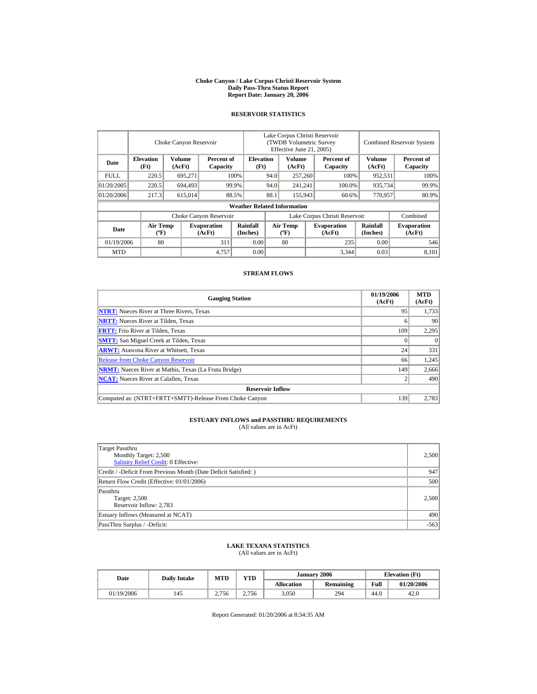#### **Choke Canyon / Lake Corpus Christi Reservoir System Daily Pass-Thru Status Report Report Date: January 20, 2006**

## **RESERVOIR STATISTICS**

|             | Choke Canyon Reservoir                      |                  |                              |                                    | Lake Corpus Christi Reservoir<br>(TWDB Volumetric Survey<br>Effective June 21, 2005) |                                  |  |                              |                      | <b>Combined Reservoir System</b> |  |  |
|-------------|---------------------------------------------|------------------|------------------------------|------------------------------------|--------------------------------------------------------------------------------------|----------------------------------|--|------------------------------|----------------------|----------------------------------|--|--|
| Date        | <b>Elevation</b><br>(Ft)                    | Volume<br>(AcFt) | Percent of<br>Capacity       |                                    | <b>Elevation</b><br>(Ft)                                                             | Volume<br>(AcFt)                 |  | Percent of<br>Capacity       | Volume<br>(AcFt)     | Percent of<br>Capacity           |  |  |
| <b>FULL</b> | 220.5                                       | 695,271          |                              | 100%                               | 94.0                                                                                 | 257,260                          |  | 100%                         | 952,531              | 100%                             |  |  |
| 01/20/2005  | 220.5                                       | 694.493          |                              | 99.9%                              | 94.0                                                                                 | 241,241                          |  | 100.0%                       | 935,734              | 99.9%                            |  |  |
| 01/20/2006  | 217.3                                       | 615,014          |                              | 88.5%                              | 88.1                                                                                 | 155,943                          |  | 60.6%                        | 770,957              | 80.9%                            |  |  |
|             |                                             |                  |                              | <b>Weather Related Information</b> |                                                                                      |                                  |  |                              |                      |                                  |  |  |
|             |                                             |                  | Choke Canyon Reservoir       |                                    | Lake Corpus Christi Reservoir                                                        |                                  |  |                              |                      | Combined                         |  |  |
| Date        | <b>Air Temp</b><br>$({}^{\circ}\mathrm{F})$ |                  | <b>Evaporation</b><br>(AcFt) | Rainfall<br>(Inches)               |                                                                                      | <b>Air Temp</b><br>$(^{\circ}F)$ |  | <b>Evaporation</b><br>(AcFt) | Rainfall<br>(Inches) | <b>Evaporation</b><br>(AcFt)     |  |  |
| 01/19/2006  | 80                                          |                  | 311                          | 0.00                               |                                                                                      | 80                               |  | 235                          | 0.00                 | 546                              |  |  |
| <b>MTD</b>  |                                             |                  | 4,757                        | 0.00                               |                                                                                      |                                  |  | 3,344                        | 0.03                 | 8.101                            |  |  |

## **STREAM FLOWS**

| <b>Gauging Station</b>                                       | 01/19/2006<br>(AcFt) | <b>MTD</b><br>(AcFt) |
|--------------------------------------------------------------|----------------------|----------------------|
| <b>NTRT:</b> Nueces River at Three Rivers, Texas             | 95                   | 1,733                |
| <b>NRTT:</b> Nueces River at Tilden, Texas                   |                      | 90                   |
| <b>FRTT:</b> Frio River at Tilden, Texas                     | 109                  | 2,295                |
| <b>SMTT:</b> San Miguel Creek at Tilden, Texas               |                      | $\theta$             |
| <b>ARWT:</b> Atascosa River at Whitsett, Texas               | 24                   | 331                  |
| <b>Release from Choke Canyon Reservoir</b>                   | 66                   | 1.245                |
| <b>NRMT:</b> Nueces River at Mathis, Texas (La Fruta Bridge) | 149                  | 2,666                |
| <b>NCAT:</b> Nueces River at Calallen, Texas                 |                      | 490                  |
| <b>Reservoir Inflow</b>                                      |                      |                      |
| Computed as: (NTRT+FRTT+SMTT)-Release From Choke Canyon      | 139                  | 2.783                |

# **ESTUARY INFLOWS and PASSTHRU REQUIREMENTS**<br>(All values are in AcFt)

| Target Passthru<br>Monthly Target: 2,500<br><b>Salinity Relief Credit: 0 Effective:</b> | 2,500  |
|-----------------------------------------------------------------------------------------|--------|
| Credit / -Deficit From Previous Month (Date Deficit Satisfied:)                         | 947    |
| Return Flow Credit (Effective: 01/01/2006)                                              | 500    |
| Passthru<br>Target: 2,500<br>Reservoir Inflow: 2,783                                    | 2,500  |
| Estuary Inflows (Measured at NCAT)                                                      | 490    |
| PassThru Surplus / -Deficit:                                                            | $-563$ |

## **LAKE TEXANA STATISTICS**

(All values are in AcFt)

| Date       | <b>Daily Intake</b> | <b>MTD</b> | <b>YTD</b> |                   | January 2006 |      | <b>Elevation</b> (Ft) |
|------------|---------------------|------------|------------|-------------------|--------------|------|-----------------------|
|            |                     |            |            | <b>Allocation</b> | Remaining    | Full | 01/20/2006            |
| 01/19/2006 | 145                 | 2.756      | 2.756      | 3,050             | 294          | 44.0 | 42.0                  |

Report Generated: 01/20/2006 at 8:34:35 AM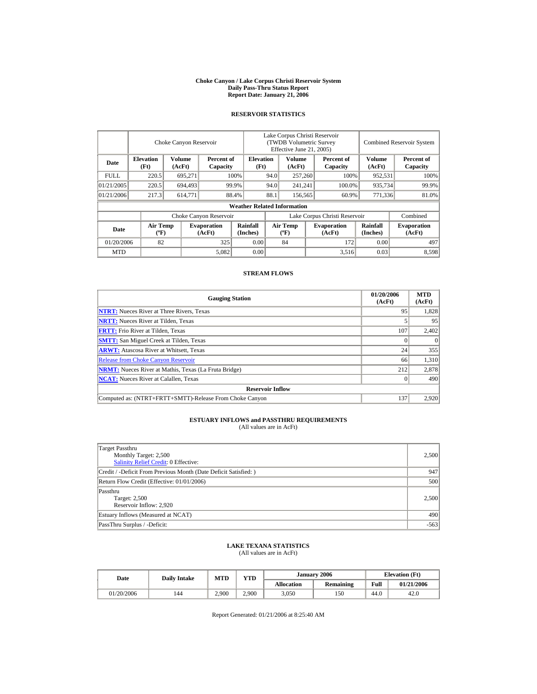#### **Choke Canyon / Lake Corpus Christi Reservoir System Daily Pass-Thru Status Report Report Date: January 21, 2006**

## **RESERVOIR STATISTICS**

|             | Choke Canyon Reservoir                                                 |         |                              |                                    | Lake Corpus Christi Reservoir<br>(TWDB Volumetric Survey<br>Effective June 21, 2005) |                                  |                        |                              | <b>Combined Reservoir System</b> |                              |  |
|-------------|------------------------------------------------------------------------|---------|------------------------------|------------------------------------|--------------------------------------------------------------------------------------|----------------------------------|------------------------|------------------------------|----------------------------------|------------------------------|--|
| Date        | <b>Elevation</b><br>Volume<br>Percent of<br>(Ft)<br>(AcFt)<br>Capacity |         | <b>Elevation</b><br>(Ft)     |                                    | Volume<br>(AcFt)                                                                     |                                  | Percent of<br>Capacity | Volume<br>(AcFt)             | Percent of<br>Capacity           |                              |  |
| <b>FULL</b> | 220.5                                                                  | 695,271 |                              | 100%                               | 94.0                                                                                 | 257,260                          |                        | 100%                         | 952,531                          | 100%                         |  |
| 01/21/2005  | 220.5                                                                  | 694.493 |                              | 99.9%                              | 94.0                                                                                 | 241,241                          |                        | 100.0%                       | 935,734                          | 99.9%                        |  |
| 01/21/2006  | 217.3                                                                  | 614,771 |                              | 88.4%                              | 88.1                                                                                 | 156,565                          |                        | 60.9%                        | 771,336                          | 81.0%                        |  |
|             |                                                                        |         |                              | <b>Weather Related Information</b> |                                                                                      |                                  |                        |                              |                                  |                              |  |
|             |                                                                        |         | Choke Canyon Reservoir       |                                    | Lake Corpus Christi Reservoir                                                        |                                  |                        |                              |                                  | Combined                     |  |
| Date        | <b>Air Temp</b><br>$({}^{\circ}\mathrm{F})$                            |         | <b>Evaporation</b><br>(AcFt) | Rainfall<br>(Inches)               |                                                                                      | <b>Air Temp</b><br>$(^{\circ}F)$ |                        | <b>Evaporation</b><br>(AcFt) | Rainfall<br>(Inches)             | <b>Evaporation</b><br>(AcFt) |  |
| 01/20/2006  | 82                                                                     |         | 325                          | 0.00                               |                                                                                      | 84                               |                        | 172                          | 0.00                             | 497                          |  |
| <b>MTD</b>  |                                                                        |         | 5,082                        | 0.00                               |                                                                                      |                                  |                        | 3,516                        | 0.03                             | 8.598                        |  |

## **STREAM FLOWS**

| <b>Gauging Station</b>                                       | 01/20/2006<br>(AcFt) | <b>MTD</b><br>(AcFt) |
|--------------------------------------------------------------|----------------------|----------------------|
| <b>NTRT:</b> Nueces River at Three Rivers, Texas             | 95                   | 1,828                |
| <b>NRTT:</b> Nueces River at Tilden, Texas                   |                      | 95                   |
| <b>FRTT:</b> Frio River at Tilden, Texas                     | 107                  | 2,402                |
| <b>SMTT:</b> San Miguel Creek at Tilden, Texas               |                      | $\Omega$             |
| <b>ARWT:</b> Atascosa River at Whitsett, Texas               | 24                   | 355                  |
| <b>Release from Choke Canyon Reservoir</b>                   | 66                   | 1.310                |
| <b>NRMT:</b> Nueces River at Mathis, Texas (La Fruta Bridge) | 212                  | 2,878                |
| <b>NCAT:</b> Nueces River at Calallen, Texas                 |                      | 490                  |
| <b>Reservoir Inflow</b>                                      |                      |                      |
| Computed as: (NTRT+FRTT+SMTT)-Release From Choke Canyon      | 137                  | 2,920                |

# **ESTUARY INFLOWS and PASSTHRU REQUIREMENTS**<br>(All values are in AcFt)

| Target Passthru<br>Monthly Target: 2,500<br><b>Salinity Relief Credit: 0 Effective:</b> | 2,500  |
|-----------------------------------------------------------------------------------------|--------|
| Credit / -Deficit From Previous Month (Date Deficit Satisfied:)                         | 947    |
| Return Flow Credit (Effective: 01/01/2006)                                              | 500    |
| Passthru<br>Target: 2,500<br>Reservoir Inflow: 2,920                                    | 2.500  |
| Estuary Inflows (Measured at NCAT)                                                      | 490    |
| PassThru Surplus / -Deficit:                                                            | $-563$ |

## **LAKE TEXANA STATISTICS**

(All values are in AcFt)

| Date       | <b>Daily Intake</b> | <b>MTD</b> | <b>VTD</b> |                   | January 2006 | <b>Elevation</b> (Ft) |            |  |
|------------|---------------------|------------|------------|-------------------|--------------|-----------------------|------------|--|
|            |                     |            |            | <b>Allocation</b> | Remaining    | Full                  | 01/21/2006 |  |
| 01/20/2006 | 144                 | 2.900      | 2.900      | 3,050             | 150          | 44.0                  | 42.0       |  |

Report Generated: 01/21/2006 at 8:25:40 AM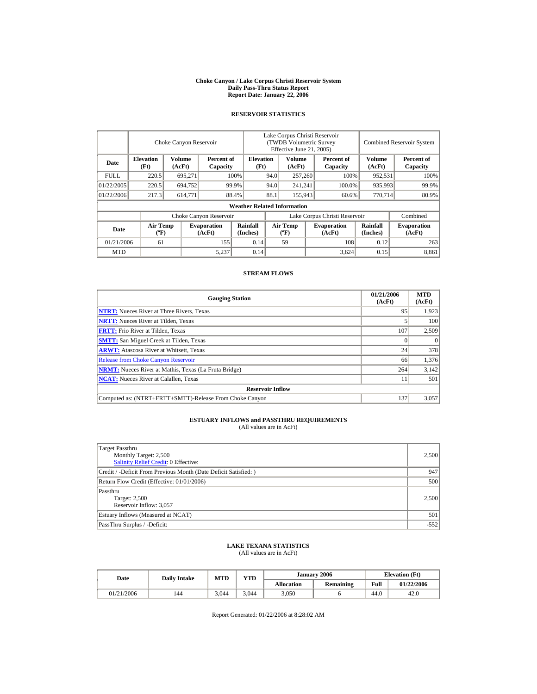#### **Choke Canyon / Lake Corpus Christi Reservoir System Daily Pass-Thru Status Report Report Date: January 22, 2006**

## **RESERVOIR STATISTICS**

|            | Choke Canyon Reservoir                      |                  |                              |                                    | Lake Corpus Christi Reservoir<br>(TWDB Volumetric Survey<br>Effective June 21, 2005) |                                  |  |                              |                      | <b>Combined Reservoir System</b> |  |  |
|------------|---------------------------------------------|------------------|------------------------------|------------------------------------|--------------------------------------------------------------------------------------|----------------------------------|--|------------------------------|----------------------|----------------------------------|--|--|
| Date       | <b>Elevation</b><br>(Ft)                    | Volume<br>(AcFt) | Percent of<br>Capacity       |                                    | <b>Elevation</b><br>(Ft)                                                             | Volume<br>(AcFt)                 |  | Percent of<br>Capacity       | Volume<br>(AcFt)     | Percent of<br>Capacity           |  |  |
| FULL.      | 220.5                                       | 695,271          |                              | 100%                               | 94.0                                                                                 | 257,260                          |  | 100%                         | 952,531              | 100%                             |  |  |
| 01/22/2005 | 220.5                                       | 694.752          |                              | 99.9%                              | 94.0                                                                                 | 241,241                          |  | 100.0%                       | 935,993              | 99.9%                            |  |  |
| 01/22/2006 | 217.3                                       | 614,771          |                              | 88.4%                              | 88.1                                                                                 | 155,943                          |  | 60.6%                        | 770.714              | 80.9%                            |  |  |
|            |                                             |                  |                              | <b>Weather Related Information</b> |                                                                                      |                                  |  |                              |                      |                                  |  |  |
|            |                                             |                  | Choke Canyon Reservoir       |                                    | Lake Corpus Christi Reservoir                                                        |                                  |  |                              |                      | Combined                         |  |  |
| Date       | <b>Air Temp</b><br>$({}^{\circ}\mathrm{F})$ |                  | <b>Evaporation</b><br>(AcFt) | Rainfall<br>(Inches)               |                                                                                      | <b>Air Temp</b><br>$(^{\circ}F)$ |  | <b>Evaporation</b><br>(AcFt) | Rainfall<br>(Inches) | <b>Evaporation</b><br>(AcFt)     |  |  |
| 01/21/2006 | 61                                          |                  | 155                          | 0.14                               |                                                                                      | 59                               |  | 108                          | 0.12                 | 263                              |  |  |
| <b>MTD</b> |                                             |                  | 5.237                        | 0.14                               |                                                                                      |                                  |  | 3,624                        | 0.15                 | 8.861                            |  |  |

## **STREAM FLOWS**

| <b>Gauging Station</b>                                       | 01/21/2006<br>(AcFt) | <b>MTD</b><br>(AcFt) |
|--------------------------------------------------------------|----------------------|----------------------|
| <b>NTRT:</b> Nueces River at Three Rivers, Texas             | 95                   | 1.923                |
| <b>NRTT:</b> Nueces River at Tilden, Texas                   |                      | 100                  |
| <b>FRTT:</b> Frio River at Tilden, Texas                     | 107                  | 2,509                |
| <b>SMTT:</b> San Miguel Creek at Tilden, Texas               |                      | $\Omega$             |
| <b>ARWT:</b> Atascosa River at Whitsett, Texas               | 24                   | 378                  |
| <b>Release from Choke Canyon Reservoir</b>                   | 66                   | 1.376                |
| <b>NRMT:</b> Nueces River at Mathis, Texas (La Fruta Bridge) | 264                  | 3,142                |
| <b>NCAT:</b> Nueces River at Calallen. Texas                 |                      | 501                  |
| <b>Reservoir Inflow</b>                                      |                      |                      |
| Computed as: (NTRT+FRTT+SMTT)-Release From Choke Canyon      | 137                  | 3.057                |

# **ESTUARY INFLOWS and PASSTHRU REQUIREMENTS**<br>(All values are in AcFt)

| Target Passthru<br>Monthly Target: 2,500<br><b>Salinity Relief Credit: 0 Effective:</b> | 2,500  |
|-----------------------------------------------------------------------------------------|--------|
| Credit / -Deficit From Previous Month (Date Deficit Satisfied:)                         | 947    |
| Return Flow Credit (Effective: 01/01/2006)                                              | 500    |
| Passthru<br>Target: 2,500<br>Reservoir Inflow: 3,057                                    | 2,500  |
| Estuary Inflows (Measured at NCAT)                                                      | 501    |
| PassThru Surplus / -Deficit:                                                            | $-552$ |

## **LAKE TEXANA STATISTICS**

(All values are in AcFt)

| Date       | <b>Daily Intake</b> | <b>MTD</b> | <b>VTD</b> |                   | January 2006 | <b>Elevation</b> (Ft) |            |  |
|------------|---------------------|------------|------------|-------------------|--------------|-----------------------|------------|--|
|            |                     |            |            | <b>Allocation</b> | Remaining    | Full                  | 01/22/2006 |  |
| 01/21/2006 | 144                 | 3.044      | 3,044      | 3,050             |              | 44.0                  | 42.0       |  |

Report Generated: 01/22/2006 at 8:28:02 AM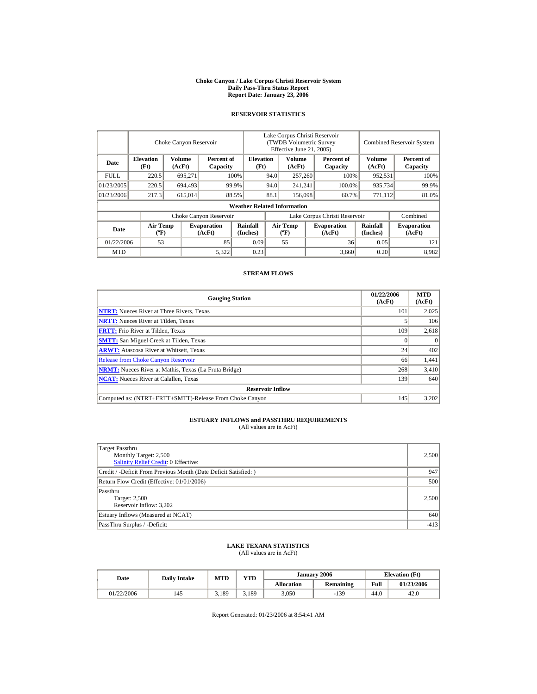#### **Choke Canyon / Lake Corpus Christi Reservoir System Daily Pass-Thru Status Report Report Date: January 23, 2006**

## **RESERVOIR STATISTICS**

|            | Choke Canyon Reservoir                      |                  |                              |                                    | Lake Corpus Christi Reservoir<br>(TWDB Volumetric Survey<br>Effective June 21, 2005) |                                  |  |                              |                      | <b>Combined Reservoir System</b> |  |  |
|------------|---------------------------------------------|------------------|------------------------------|------------------------------------|--------------------------------------------------------------------------------------|----------------------------------|--|------------------------------|----------------------|----------------------------------|--|--|
| Date       | <b>Elevation</b><br>(Ft)                    | Volume<br>(AcFt) | Percent of<br>Capacity       |                                    | <b>Elevation</b><br>(Ft)                                                             | Volume<br>(AcFt)                 |  | Percent of<br>Capacity       | Volume<br>(AcFt)     | Percent of<br>Capacity           |  |  |
| FULL.      | 220.5                                       | 695,271          |                              | 100%                               | 94.0                                                                                 | 257,260                          |  | 100%                         | 952,531              | 100%                             |  |  |
| 01/23/2005 | 220.5                                       | 694.493          |                              | 99.9%                              | 94.0                                                                                 | 241,241                          |  | 100.0%                       | 935,734              | 99.9%                            |  |  |
| 01/23/2006 | 217.3                                       | 615,014          |                              | 88.5%                              | 88.1                                                                                 | 156,098                          |  | 60.7%                        | 771,112              | 81.0%                            |  |  |
|            |                                             |                  |                              | <b>Weather Related Information</b> |                                                                                      |                                  |  |                              |                      |                                  |  |  |
|            |                                             |                  | Choke Canyon Reservoir       |                                    | Lake Corpus Christi Reservoir                                                        |                                  |  |                              |                      | Combined                         |  |  |
| Date       | <b>Air Temp</b><br>$({}^{\circ}\mathrm{F})$ |                  | <b>Evaporation</b><br>(AcFt) | Rainfall<br>(Inches)               |                                                                                      | <b>Air Temp</b><br>$(^{\circ}F)$ |  | <b>Evaporation</b><br>(AcFt) | Rainfall<br>(Inches) | <b>Evaporation</b><br>(AcFt)     |  |  |
| 01/22/2006 | 53                                          |                  | 85                           | 0.09                               |                                                                                      | 55                               |  | 36                           | 0.05                 | 121                              |  |  |
| <b>MTD</b> |                                             |                  | 5,322                        | 0.23                               |                                                                                      |                                  |  | 3.660                        | 0.20                 | 8.982                            |  |  |

## **STREAM FLOWS**

| <b>Gauging Station</b>                                       | 01/22/2006<br>(AcFt) | <b>MTD</b><br>(AcFt) |
|--------------------------------------------------------------|----------------------|----------------------|
| <b>NTRT:</b> Nueces River at Three Rivers, Texas             | 101                  | 2,025                |
| <b>NRTT:</b> Nueces River at Tilden, Texas                   |                      | 106                  |
| <b>FRTT:</b> Frio River at Tilden, Texas                     | 109                  | 2,618                |
| <b>SMTT:</b> San Miguel Creek at Tilden, Texas               |                      | $\Omega$             |
| <b>ARWT:</b> Atascosa River at Whitsett, Texas               | 24                   | 402                  |
| <b>Release from Choke Canyon Reservoir</b>                   | 66                   | 1,441                |
| <b>NRMT:</b> Nueces River at Mathis, Texas (La Fruta Bridge) | 268                  | 3,410                |
| <b>NCAT:</b> Nueces River at Calallen. Texas                 | 139                  | 640                  |
| <b>Reservoir Inflow</b>                                      |                      |                      |
| Computed as: (NTRT+FRTT+SMTT)-Release From Choke Canyon      | 145                  | 3,202                |

# **ESTUARY INFLOWS and PASSTHRU REQUIREMENTS**<br>(All values are in AcFt)

| Target Passthru<br>Monthly Target: 2,500<br><b>Salinity Relief Credit: 0 Effective:</b> | 2,500  |
|-----------------------------------------------------------------------------------------|--------|
| Credit / -Deficit From Previous Month (Date Deficit Satisfied:)                         | 947    |
| Return Flow Credit (Effective: 01/01/2006)                                              | 500    |
| Passthru<br>Target: 2,500<br>Reservoir Inflow: 3,202                                    | 2,500  |
| Estuary Inflows (Measured at NCAT)                                                      | 640    |
| PassThru Surplus / -Deficit:                                                            | $-413$ |

## **LAKE TEXANA STATISTICS**

(All values are in AcFt)

| Date       | <b>Daily Intake</b> | MTD   | <b>YTD</b> |                   | January 2006     | <b>Elevation</b> (Ft) |            |
|------------|---------------------|-------|------------|-------------------|------------------|-----------------------|------------|
|            |                     |       |            | <b>Allocation</b> | <b>Remaining</b> | Full                  | 01/23/2006 |
| 01/22/2006 | 145                 | 3.189 | 5,189      | 3,050             | $-139$           | 44.0                  | 42.0       |

Report Generated: 01/23/2006 at 8:54:41 AM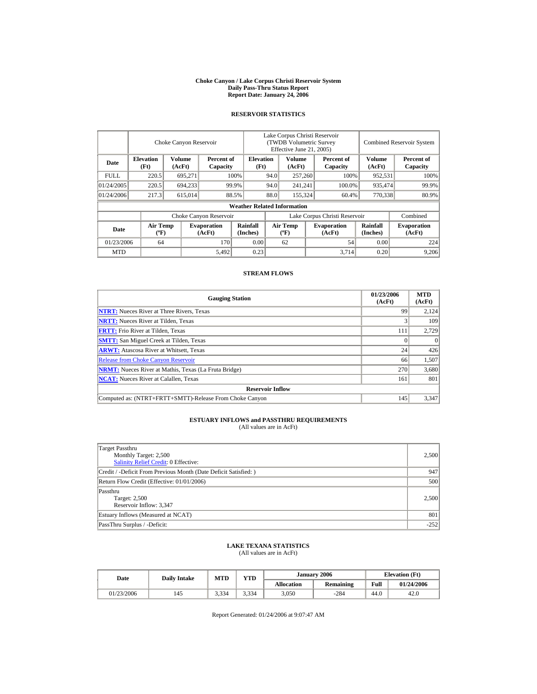#### **Choke Canyon / Lake Corpus Christi Reservoir System Daily Pass-Thru Status Report Report Date: January 24, 2006**

## **RESERVOIR STATISTICS**

|             | Choke Canyon Reservoir                      |                                            |                              |                                    | Lake Corpus Christi Reservoir<br>(TWDB Volumetric Survey<br>Effective June 21, 2005) |                                  |  |                              |                             | <b>Combined Reservoir System</b> |  |  |
|-------------|---------------------------------------------|--------------------------------------------|------------------------------|------------------------------------|--------------------------------------------------------------------------------------|----------------------------------|--|------------------------------|-----------------------------|----------------------------------|--|--|
| Date        | <b>Elevation</b><br>(Ft)                    | Volume<br>Percent of<br>(AcFt)<br>Capacity |                              | <b>Elevation</b><br>(Ft)           |                                                                                      | Volume<br>(AcFt)                 |  | Percent of<br>Capacity       | Volume<br>(AcFt)            | Percent of<br>Capacity           |  |  |
| <b>FULL</b> | 220.5                                       | 695,271                                    |                              | 100%                               | 94.0                                                                                 | 257,260                          |  | 100%                         | 952,531                     | 100%                             |  |  |
| 01/24/2005  | 220.5                                       | 694,233                                    |                              | 99.9%                              | 94.0                                                                                 | 241,241                          |  | 100.0%                       | 935,474                     | 99.9%                            |  |  |
| 01/24/2006  | 217.3                                       | 615,014                                    |                              | 88.5%                              | 88.0                                                                                 | 155,324                          |  | 60.4%                        | 770,338                     | 80.9%                            |  |  |
|             |                                             |                                            |                              | <b>Weather Related Information</b> |                                                                                      |                                  |  |                              |                             |                                  |  |  |
|             |                                             |                                            | Choke Canyon Reservoir       |                                    | Lake Corpus Christi Reservoir                                                        |                                  |  |                              |                             | Combined                         |  |  |
| Date        | <b>Air Temp</b><br>$({}^{\circ}\mathrm{F})$ |                                            | <b>Evaporation</b><br>(AcFt) | Rainfall<br>(Inches)               |                                                                                      | <b>Air Temp</b><br>$(^{\circ}F)$ |  | <b>Evaporation</b><br>(AcFt) | <b>Rainfall</b><br>(Inches) | <b>Evaporation</b><br>(AcFt)     |  |  |
| 01/23/2006  | 64                                          |                                            | 170                          | 0.00                               |                                                                                      | 62                               |  | 54                           | 0.00                        | 224                              |  |  |
| <b>MTD</b>  |                                             |                                            | 5,492                        | 0.23                               |                                                                                      |                                  |  | 3,714                        | 0.20                        | 9,206                            |  |  |

## **STREAM FLOWS**

| <b>Gauging Station</b>                                       | 01/23/2006<br>(AcFt) | <b>MTD</b><br>(AcFt) |
|--------------------------------------------------------------|----------------------|----------------------|
| <b>NTRT:</b> Nueces River at Three Rivers, Texas             | 99                   | 2.124                |
| <b>NRTT:</b> Nueces River at Tilden, Texas                   |                      | 109                  |
| <b>FRTT:</b> Frio River at Tilden, Texas                     | 111                  | 2,729                |
| <b>SMTT:</b> San Miguel Creek at Tilden, Texas               |                      | $\Omega$             |
| <b>ARWT:</b> Atascosa River at Whitsett, Texas               | 24                   | 426                  |
| <b>Release from Choke Canyon Reservoir</b>                   | 66                   | 1,507                |
| <b>NRMT:</b> Nueces River at Mathis, Texas (La Fruta Bridge) | 270                  | 3,680                |
| <b>NCAT:</b> Nueces River at Calallen. Texas                 | 161                  | 801                  |
| <b>Reservoir Inflow</b>                                      |                      |                      |
| Computed as: (NTRT+FRTT+SMTT)-Release From Choke Canyon      | 145                  | 3,347                |

# **ESTUARY INFLOWS and PASSTHRU REQUIREMENTS**<br>(All values are in AcFt)

| Target Passthru<br>Monthly Target: 2,500<br><b>Salinity Relief Credit: 0 Effective:</b> | 2,500  |
|-----------------------------------------------------------------------------------------|--------|
| Credit / -Deficit From Previous Month (Date Deficit Satisfied:)                         | 947    |
| Return Flow Credit (Effective: 01/01/2006)                                              | 500    |
| Passthru<br>Target: 2,500<br>Reservoir Inflow: 3,347                                    | 2,500  |
| Estuary Inflows (Measured at NCAT)                                                      | 801    |
| PassThru Surplus / -Deficit:                                                            | $-252$ |

## **LAKE TEXANA STATISTICS**

(All values are in AcFt)

| Date       | <b>Daily Intake</b> | MTD   | <b>YTD</b> |                   | January 2006     | <b>Elevation</b> (Ft) |            |  |
|------------|---------------------|-------|------------|-------------------|------------------|-----------------------|------------|--|
|            |                     |       |            | <b>Allocation</b> | <b>Remaining</b> | Full                  | 01/24/2006 |  |
| 01/23/2006 | 145                 | 3,334 | 3.334      | 3,050             | $-284$           | 44.0                  | 42.0       |  |

Report Generated: 01/24/2006 at 9:07:47 AM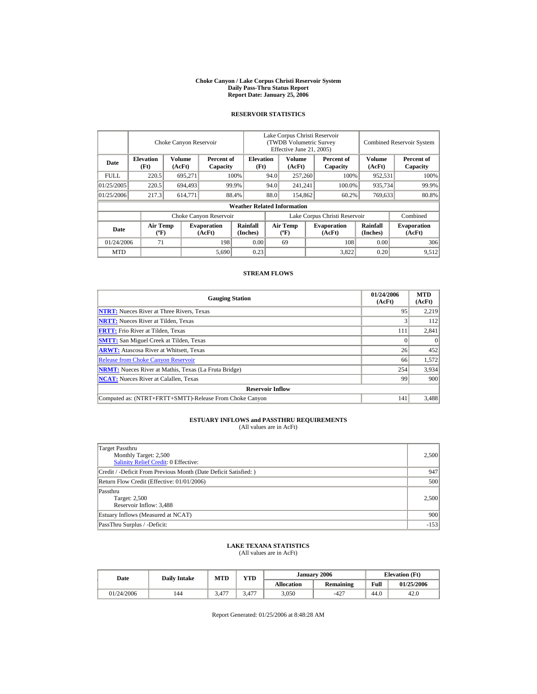#### **Choke Canyon / Lake Corpus Christi Reservoir System Daily Pass-Thru Status Report Report Date: January 25, 2006**

## **RESERVOIR STATISTICS**

|             | Choke Canyon Reservoir                      |                                            |                              |                                    | Lake Corpus Christi Reservoir<br>(TWDB Volumetric Survey<br>Effective June 21, 2005) |                                  |  |                              |                      | <b>Combined Reservoir System</b> |  |  |
|-------------|---------------------------------------------|--------------------------------------------|------------------------------|------------------------------------|--------------------------------------------------------------------------------------|----------------------------------|--|------------------------------|----------------------|----------------------------------|--|--|
| Date        | <b>Elevation</b><br>(Ft)                    | Volume<br>Percent of<br>(AcFt)<br>Capacity |                              | <b>Elevation</b><br>(Ft)           |                                                                                      | Volume<br>(AcFt)                 |  | Percent of<br>Capacity       | Volume<br>(AcFt)     | Percent of<br>Capacity           |  |  |
| <b>FULL</b> | 220.5                                       | 695,271                                    |                              | 100%                               | 94.0                                                                                 | 257,260                          |  | 100%                         | 952,531              | 100%                             |  |  |
| 01/25/2005  | 220.5                                       | 694.493                                    |                              | 99.9%                              | 94.0                                                                                 | 241,241                          |  | 100.0%                       | 935,734              | 99.9%                            |  |  |
| 01/25/2006  | 217.3                                       | 614,771                                    |                              | 88.4%                              | 88.0                                                                                 | 154,862                          |  | 60.2%                        | 769,633              | 80.8%                            |  |  |
|             |                                             |                                            |                              | <b>Weather Related Information</b> |                                                                                      |                                  |  |                              |                      |                                  |  |  |
|             |                                             |                                            | Choke Canyon Reservoir       |                                    | Lake Corpus Christi Reservoir                                                        |                                  |  |                              |                      | Combined                         |  |  |
| Date        | <b>Air Temp</b><br>$({}^{\circ}\mathrm{F})$ |                                            | <b>Evaporation</b><br>(AcFt) | Rainfall<br>(Inches)               |                                                                                      | <b>Air Temp</b><br>$(^{\circ}F)$ |  | <b>Evaporation</b><br>(AcFt) | Rainfall<br>(Inches) | <b>Evaporation</b><br>(AcFt)     |  |  |
| 01/24/2006  | 71                                          |                                            | 198                          | 0.00                               |                                                                                      | 69                               |  | 108                          | 0.00                 | 306                              |  |  |
| <b>MTD</b>  |                                             |                                            | 5,690                        | 0.23                               |                                                                                      |                                  |  | 3,822                        | 0.20                 | 9,512                            |  |  |

## **STREAM FLOWS**

| <b>Gauging Station</b>                                       | 01/24/2006<br>(AcFt) | <b>MTD</b><br>(AcFt) |
|--------------------------------------------------------------|----------------------|----------------------|
| <b>NTRT:</b> Nueces River at Three Rivers, Texas             | 95                   | 2,219                |
| <b>NRTT:</b> Nueces River at Tilden, Texas                   |                      | 112                  |
| <b>FRTT:</b> Frio River at Tilden, Texas                     | 111                  | 2,841                |
| <b>SMTT:</b> San Miguel Creek at Tilden, Texas               |                      | $\theta$             |
| <b>ARWT:</b> Atascosa River at Whitsett, Texas               | 26                   | 452                  |
| <b>Release from Choke Canyon Reservoir</b>                   | 66                   | 1,572                |
| <b>NRMT:</b> Nueces River at Mathis, Texas (La Fruta Bridge) | 254                  | 3,934                |
| <b>NCAT:</b> Nueces River at Calallen, Texas                 | 99                   | 900                  |
| <b>Reservoir Inflow</b>                                      |                      |                      |
| Computed as: (NTRT+FRTT+SMTT)-Release From Choke Canyon      | 141                  | 3.488                |

# **ESTUARY INFLOWS and PASSTHRU REQUIREMENTS**<br>(All values are in AcFt)

| Target Passthru<br>Monthly Target: 2,500<br><b>Salinity Relief Credit: 0 Effective:</b> | 2,500  |
|-----------------------------------------------------------------------------------------|--------|
| Credit / -Deficit From Previous Month (Date Deficit Satisfied:)                         | 947    |
| Return Flow Credit (Effective: 01/01/2006)                                              | 500    |
| Passthru<br>Target: 2,500<br>Reservoir Inflow: 3,488                                    | 2,500  |
| Estuary Inflows (Measured at NCAT)                                                      | 900    |
| PassThru Surplus / -Deficit:                                                            | $-153$ |

## **LAKE TEXANA STATISTICS**

(All values are in AcFt)

| Date       | <b>Daily Intake</b> | MTD           | <b>YTD</b> |                   | January 2006     | <b>Elevation</b> (Ft) |            |  |
|------------|---------------------|---------------|------------|-------------------|------------------|-----------------------|------------|--|
|            |                     |               |            | <b>Allocation</b> | <b>Remaining</b> | Full                  | 01/25/2006 |  |
| 01/24/2006 | 144                 | 1.7.7<br>، 4. | 5,477      | 3,050             | $-427$           | 44.0                  | 42.0       |  |

Report Generated: 01/25/2006 at 8:48:28 AM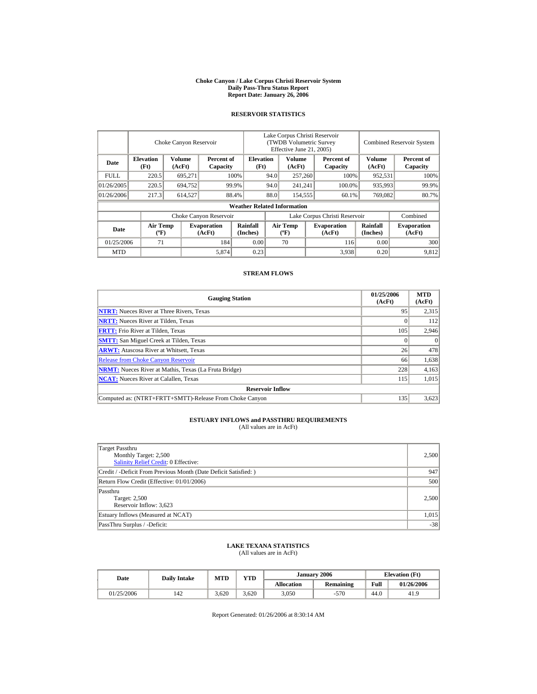#### **Choke Canyon / Lake Corpus Christi Reservoir System Daily Pass-Thru Status Report Report Date: January 26, 2006**

## **RESERVOIR STATISTICS**

|             |                                             | Choke Canyon Reservoir                     |                              | Lake Corpus Christi Reservoir<br>(TWDB Volumetric Survey<br>Effective June 21, 2005) |                               |                                  |  | <b>Combined Reservoir System</b> |                      |                              |
|-------------|---------------------------------------------|--------------------------------------------|------------------------------|--------------------------------------------------------------------------------------|-------------------------------|----------------------------------|--|----------------------------------|----------------------|------------------------------|
| Date        | <b>Elevation</b><br>(Ft)                    | Volume<br>Percent of<br>(AcFt)<br>Capacity |                              | <b>Elevation</b><br>(Ft)                                                             |                               | Volume<br>(AcFt)                 |  | Percent of<br>Capacity           | Volume<br>(AcFt)     | Percent of<br>Capacity       |
| <b>FULL</b> | 220.5                                       | 695,271                                    |                              | 100%                                                                                 | 94.0                          | 257,260                          |  | 100%                             | 952,531              | 100%                         |
| 01/26/2005  | 220.5                                       | 694.752                                    |                              | 99.9%                                                                                |                               | 94.0<br>241,241                  |  | 100.0%                           | 935,993              | 99.9%                        |
| 01/26/2006  | 217.3                                       | 614,527                                    |                              | 88.4%                                                                                | 88.0                          | 154,555                          |  | 60.1%                            | 769,082              | 80.7%                        |
|             |                                             |                                            |                              | <b>Weather Related Information</b>                                                   |                               |                                  |  |                                  |                      |                              |
|             |                                             |                                            | Choke Canyon Reservoir       |                                                                                      | Lake Corpus Christi Reservoir |                                  |  |                                  |                      | Combined                     |
| Date        | <b>Air Temp</b><br>$({}^{\circ}\mathrm{F})$ |                                            | <b>Evaporation</b><br>(AcFt) | Rainfall<br>(Inches)                                                                 |                               | <b>Air Temp</b><br>$(^{\circ}F)$ |  | <b>Evaporation</b><br>(AcFt)     | Rainfall<br>(Inches) | <b>Evaporation</b><br>(AcFt) |
| 01/25/2006  | 71                                          |                                            | 184                          | 0.00                                                                                 |                               | 70                               |  | 116                              | 0.00                 | 300                          |
| <b>MTD</b>  |                                             |                                            | 5,874                        | 0.23                                                                                 |                               |                                  |  | 3,938                            | 0.20                 | 9.812                        |

## **STREAM FLOWS**

| <b>Gauging Station</b>                                       | 01/25/2006<br>(AcFt) | <b>MTD</b><br>(AcFt) |
|--------------------------------------------------------------|----------------------|----------------------|
| <b>NTRT:</b> Nueces River at Three Rivers, Texas             | 95                   | 2,315                |
| <b>NRTT:</b> Nueces River at Tilden, Texas                   |                      | 112                  |
| <b>FRTT:</b> Frio River at Tilden, Texas                     | 105                  | 2,946                |
| <b>SMTT:</b> San Miguel Creek at Tilden, Texas               |                      | $\Omega$             |
| <b>ARWT:</b> Atascosa River at Whitsett, Texas               | 26                   | 478                  |
| <b>Release from Choke Canyon Reservoir</b>                   | 66                   | 1,638                |
| <b>NRMT:</b> Nueces River at Mathis, Texas (La Fruta Bridge) | 228                  | 4,163                |
| <b>NCAT:</b> Nueces River at Calallen. Texas                 | 115                  | 1,015                |
| <b>Reservoir Inflow</b>                                      |                      |                      |
| Computed as: (NTRT+FRTT+SMTT)-Release From Choke Canyon      | 135                  | 3.623                |

# **ESTUARY INFLOWS and PASSTHRU REQUIREMENTS**<br>(All values are in AcFt)

| Target Passthru<br>Monthly Target: 2,500<br><b>Salinity Relief Credit: 0 Effective:</b> | 2,500 |
|-----------------------------------------------------------------------------------------|-------|
| Credit / -Deficit From Previous Month (Date Deficit Satisfied:)                         | 947   |
| Return Flow Credit (Effective: 01/01/2006)                                              | 500   |
| Passthru<br>Target: 2,500<br>Reservoir Inflow: 3,623                                    | 2.500 |
| Estuary Inflows (Measured at NCAT)                                                      | 1,015 |
| PassThru Surplus / -Deficit:                                                            | $-38$ |

## **LAKE TEXANA STATISTICS**

(All values are in AcFt)

| Date       | <b>Daily Intake</b> | <b>MTD</b> | <b>VTD</b> |                   | January 2006 |      | <b>Elevation</b> (Ft) |
|------------|---------------------|------------|------------|-------------------|--------------|------|-----------------------|
|            |                     |            |            | <b>Allocation</b> | Remaining    | Full | 01/26/2006            |
| 01/25/2006 | 142                 | 3.620      | 3.620      | 3,050             | -570         | 44.0 | 41.9                  |

Report Generated: 01/26/2006 at 8:30:14 AM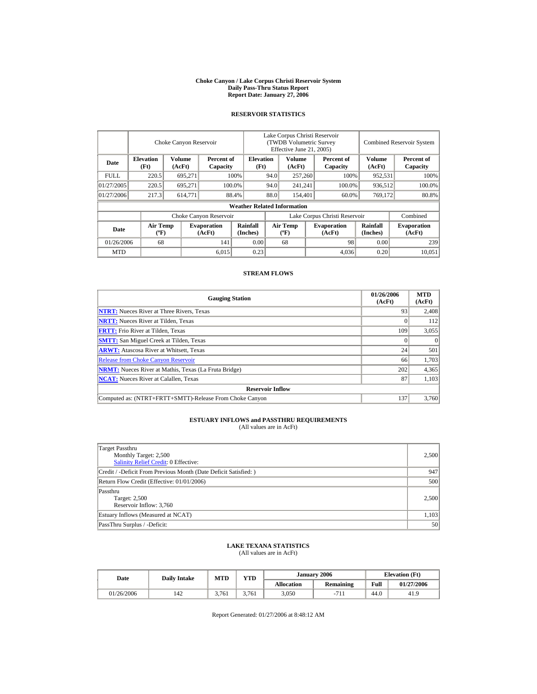#### **Choke Canyon / Lake Corpus Christi Reservoir System Daily Pass-Thru Status Report Report Date: January 27, 2006**

## **RESERVOIR STATISTICS**

|            | Choke Canyon Reservoir                      |                  |                              |                                    | Lake Corpus Christi Reservoir<br>(TWDB Volumetric Survey<br>Effective June 21, 2005) |                                  |  |                              | <b>Combined Reservoir System</b> |                              |  |
|------------|---------------------------------------------|------------------|------------------------------|------------------------------------|--------------------------------------------------------------------------------------|----------------------------------|--|------------------------------|----------------------------------|------------------------------|--|
| Date       | <b>Elevation</b><br>(Ft)                    | Volume<br>(AcFt) | Percent of<br>Capacity       |                                    | <b>Elevation</b><br>(Ft)                                                             | Volume<br>(AcFt)                 |  | Percent of<br>Capacity       | Volume<br>(AcFt)                 | Percent of<br>Capacity       |  |
| FULL.      | 220.5                                       | 695,271          |                              | 100%                               | 94.0                                                                                 | 257,260                          |  | 100%                         | 952,531                          | 100%                         |  |
| 01/27/2005 | 220.5                                       | 695.271          |                              | 100.0%                             | 94.0                                                                                 | 241,241                          |  | 100.0%                       | 936,512                          | 100.0%                       |  |
| 01/27/2006 | 217.3                                       | 614,771          |                              | 88.4%                              | 88.0                                                                                 | 154,401                          |  | 60.0%                        | 769,172                          | 80.8%                        |  |
|            |                                             |                  |                              | <b>Weather Related Information</b> |                                                                                      |                                  |  |                              |                                  |                              |  |
|            |                                             |                  | Choke Canyon Reservoir       |                                    | Lake Corpus Christi Reservoir                                                        |                                  |  |                              |                                  | Combined                     |  |
| Date       | <b>Air Temp</b><br>$({}^{\circ}\mathrm{F})$ |                  | <b>Evaporation</b><br>(AcFt) | Rainfall<br>(Inches)               |                                                                                      | <b>Air Temp</b><br>$(^{\circ}F)$ |  | <b>Evaporation</b><br>(AcFt) | Rainfall<br>(Inches)             | <b>Evaporation</b><br>(AcFt) |  |
| 01/26/2006 | 68                                          |                  | 141                          | 0.00                               |                                                                                      | 68                               |  | 98                           | 0.00                             | 239                          |  |
| <b>MTD</b> |                                             |                  | 6,015                        | 0.23                               |                                                                                      |                                  |  | 4,036                        | 0.20                             | 10.051                       |  |

## **STREAM FLOWS**

| <b>Gauging Station</b>                                       | 01/26/2006<br>(AcFt) | <b>MTD</b><br>(AcFt) |
|--------------------------------------------------------------|----------------------|----------------------|
| <b>NTRT:</b> Nueces River at Three Rivers, Texas             | 93                   | 2,408                |
| <b>NRTT:</b> Nueces River at Tilden, Texas                   |                      | 112                  |
| <b>FRTT:</b> Frio River at Tilden, Texas                     | 109                  | 3,055                |
| <b>SMTT:</b> San Miguel Creek at Tilden, Texas               |                      | $\Omega$             |
| <b>ARWT:</b> Atascosa River at Whitsett, Texas               | 24                   | 501                  |
| <b>Release from Choke Canyon Reservoir</b>                   | 66                   | 1,703                |
| <b>NRMT:</b> Nueces River at Mathis, Texas (La Fruta Bridge) | 202                  | 4,365                |
| <b>NCAT:</b> Nueces River at Calallen. Texas                 | 87                   | 1,103                |
| <b>Reservoir Inflow</b>                                      |                      |                      |
| Computed as: (NTRT+FRTT+SMTT)-Release From Choke Canyon      | 137                  | 3.760                |

# **ESTUARY INFLOWS and PASSTHRU REQUIREMENTS**<br>(All values are in AcFt)

| Target Passthru<br>Monthly Target: 2,500<br><b>Salinity Relief Credit: 0 Effective:</b> | 2,500 |
|-----------------------------------------------------------------------------------------|-------|
| Credit / -Deficit From Previous Month (Date Deficit Satisfied:)                         | 947   |
| Return Flow Credit (Effective: 01/01/2006)                                              | 500   |
| Passthru<br>Target: 2,500<br>Reservoir Inflow: 3,760                                    | 2.500 |
| Estuary Inflows (Measured at NCAT)                                                      | 1,103 |
| PassThru Surplus / -Deficit:                                                            | 50    |

## **LAKE TEXANA STATISTICS**

(All values are in AcFt)

| Date       | <b>Daily Intake</b> | <b>MTD</b> | <b>YTD</b> |                   | January 2006 | <b>Elevation</b> (Ft) |            |  |
|------------|---------------------|------------|------------|-------------------|--------------|-----------------------|------------|--|
|            |                     |            |            | <b>Allocation</b> | Remaining    | Full                  | 01/27/2006 |  |
| 01/26/2006 | 142                 | 3.761      | 3.761      | 3,050             | $ \cdot$     | 44.0                  | 41.9       |  |

Report Generated: 01/27/2006 at 8:48:12 AM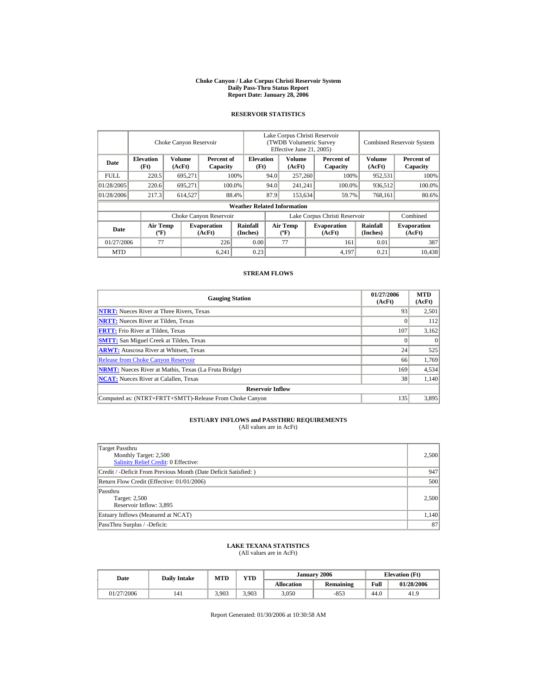#### **Choke Canyon / Lake Corpus Christi Reservoir System Daily Pass-Thru Status Report Report Date: January 28, 2006**

## **RESERVOIR STATISTICS**

|             | Choke Canyon Reservoir                      |                                            |                              |                                    | Lake Corpus Christi Reservoir<br>(TWDB Volumetric Survey<br>Effective June 21, 2005) |                                  |  |                              |                      | <b>Combined Reservoir System</b> |  |  |
|-------------|---------------------------------------------|--------------------------------------------|------------------------------|------------------------------------|--------------------------------------------------------------------------------------|----------------------------------|--|------------------------------|----------------------|----------------------------------|--|--|
| Date        | <b>Elevation</b><br>(Ft)                    | Volume<br>Percent of<br>(AcFt)<br>Capacity |                              | <b>Elevation</b><br>(Ft)           |                                                                                      | Volume<br>(AcFt)                 |  | Percent of<br>Capacity       | Volume<br>(AcFt)     | Percent of<br>Capacity           |  |  |
| <b>FULL</b> | 220.5                                       | 695,271                                    |                              | 100%                               | 94.0                                                                                 | 257,260                          |  | 100%                         | 952,531              | 100%                             |  |  |
| 01/28/2005  | 220.6                                       | 695.271                                    |                              | 100.0%                             | 94.0                                                                                 | 241,241                          |  | 100.0%                       | 936,512              | 100.0%                           |  |  |
| 01/28/2006  | 217.3                                       | 614,527                                    |                              | 88.4%                              | 87.9                                                                                 | 153.634                          |  | 59.7%                        | 768,161              | 80.6%                            |  |  |
|             |                                             |                                            |                              | <b>Weather Related Information</b> |                                                                                      |                                  |  |                              |                      |                                  |  |  |
|             |                                             |                                            | Choke Canyon Reservoir       |                                    | Lake Corpus Christi Reservoir                                                        |                                  |  |                              |                      | Combined                         |  |  |
| Date        | <b>Air Temp</b><br>$({}^{\circ}\mathrm{F})$ |                                            | <b>Evaporation</b><br>(AcFt) | Rainfall<br>(Inches)               |                                                                                      | <b>Air Temp</b><br>$(^{\circ}F)$ |  | <b>Evaporation</b><br>(AcFt) | Rainfall<br>(Inches) | <b>Evaporation</b><br>(AcFt)     |  |  |
| 01/27/2006  | 77                                          |                                            | 226                          | 0.00                               |                                                                                      | 77                               |  | 161                          | 0.01                 | 387                              |  |  |
| <b>MTD</b>  |                                             |                                            | 6.241                        | 0.23                               |                                                                                      |                                  |  | 4,197                        | 0.21                 | 10.438                           |  |  |

## **STREAM FLOWS**

| <b>Gauging Station</b>                                       | 01/27/2006<br>(AcFt) | <b>MTD</b><br>(AcFt) |
|--------------------------------------------------------------|----------------------|----------------------|
| <b>NTRT:</b> Nueces River at Three Rivers, Texas             | 93                   | 2,501                |
| <b>NRTT:</b> Nueces River at Tilden, Texas                   |                      | 112                  |
| <b>FRTT:</b> Frio River at Tilden, Texas                     | 107                  | 3,162                |
| <b>SMTT:</b> San Miguel Creek at Tilden, Texas               |                      | $\Omega$             |
| <b>ARWT:</b> Atascosa River at Whitsett, Texas               | 24                   | 525                  |
| <b>Release from Choke Canyon Reservoir</b>                   | 66                   | 1,769                |
| <b>NRMT:</b> Nueces River at Mathis, Texas (La Fruta Bridge) | 169                  | 4,534                |
| <b>NCAT:</b> Nueces River at Calallen. Texas                 | 38                   | 1,140                |
| <b>Reservoir Inflow</b>                                      |                      |                      |
| Computed as: (NTRT+FRTT+SMTT)-Release From Choke Canyon      | 135                  | 3.895                |

# **ESTUARY INFLOWS and PASSTHRU REQUIREMENTS**<br>(All values are in AcFt)

| Target Passthru<br>Monthly Target: 2,500<br><b>Salinity Relief Credit: 0 Effective:</b> | 2,500 |
|-----------------------------------------------------------------------------------------|-------|
| Credit / -Deficit From Previous Month (Date Deficit Satisfied:)                         | 947   |
| Return Flow Credit (Effective: 01/01/2006)                                              | 500   |
| Passthru<br>Target: 2,500<br>Reservoir Inflow: 3,895                                    | 2.500 |
| Estuary Inflows (Measured at NCAT)                                                      | 1,140 |
| PassThru Surplus / -Deficit:                                                            | 87    |

## **LAKE TEXANA STATISTICS**

(All values are in AcFt)

| Date       | <b>Daily Intake</b> | <b>MTD</b> | <b>VTD</b> |                   | January 2006 | <b>Elevation</b> (Ft) |            |
|------------|---------------------|------------|------------|-------------------|--------------|-----------------------|------------|
|            |                     |            |            | <b>Allocation</b> | Remaining    | Full                  | 01/28/2006 |
| 01/27/2006 | 141                 | 3.903      | 3,903      | 3,050             | $-853$       | 44.0                  | 41.9       |

Report Generated: 01/30/2006 at 10:30:58 AM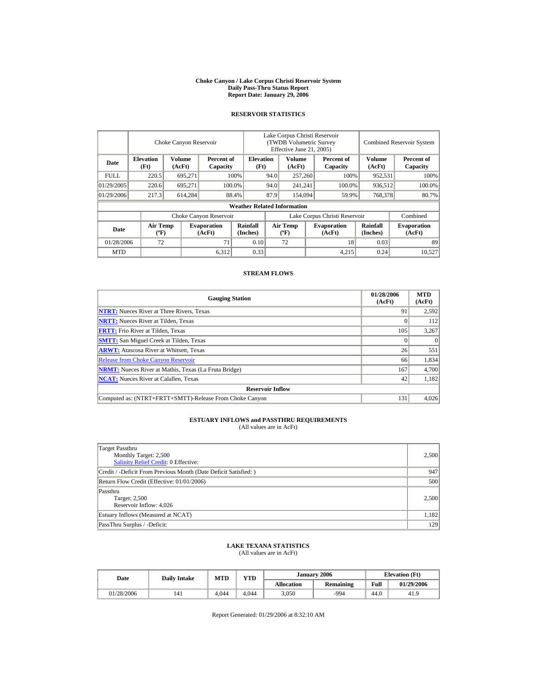#### **Choke Canyon / Lake Corpus Christi Reservoir System Daily Pass-Thru Status Report Report Date: January 29, 2006**

## **RESERVOIR STATISTICS**

|             | Choke Canyon Reservoir                      |                  |                              |                                    | Lake Corpus Christi Reservoir<br>(TWDB Volumetric Survey<br>Effective June 21, 2005) |                                  |  |                              | <b>Combined Reservoir System</b> |                              |  |
|-------------|---------------------------------------------|------------------|------------------------------|------------------------------------|--------------------------------------------------------------------------------------|----------------------------------|--|------------------------------|----------------------------------|------------------------------|--|
| Date        | <b>Elevation</b><br>(Ft)                    | Volume<br>(AcFt) | Percent of<br>Capacity       |                                    | <b>Elevation</b><br>(Ft)                                                             | Volume<br>(AcFt)                 |  | Percent of<br>Capacity       | Volume<br>(AcFt)                 | Percent of<br>Capacity       |  |
| <b>FULL</b> | 220.5                                       | 695,271          |                              | 100%                               | 94.0                                                                                 | 257,260                          |  | 100%                         | 952,531                          | 100%                         |  |
| 01/29/2005  | 220.6                                       | 695.271          |                              | 100.0%                             | 94.0                                                                                 | 241,241                          |  | 100.0%                       | 936,512                          | 100.0%                       |  |
| 01/29/2006  | 217.3                                       | 614,284          |                              | 88.4%                              | 87.9                                                                                 | 154,094                          |  | 59.9%                        | 768,378                          | 80.7%                        |  |
|             |                                             |                  |                              | <b>Weather Related Information</b> |                                                                                      |                                  |  |                              |                                  |                              |  |
|             |                                             |                  | Choke Canyon Reservoir       |                                    | Lake Corpus Christi Reservoir                                                        |                                  |  |                              |                                  | Combined                     |  |
| Date        | <b>Air Temp</b><br>$({}^{\circ}\mathrm{F})$ |                  | <b>Evaporation</b><br>(AcFt) | Rainfall<br>(Inches)               |                                                                                      | <b>Air Temp</b><br>$(^{\circ}F)$ |  | <b>Evaporation</b><br>(AcFt) | Rainfall<br>(Inches)             | <b>Evaporation</b><br>(AcFt) |  |
| 01/28/2006  | 72                                          |                  | 71                           | 0.10                               |                                                                                      | 72                               |  | 18                           | 0.03                             | 89                           |  |
| <b>MTD</b>  |                                             |                  | 6,312                        | 0.33                               |                                                                                      |                                  |  | 4,215                        | 0.24                             | 10.527                       |  |

## **STREAM FLOWS**

| <b>Gauging Station</b>                                       | 01/28/2006<br>(AcFt) | <b>MTD</b><br>(AcFt) |
|--------------------------------------------------------------|----------------------|----------------------|
| <b>NTRT:</b> Nueces River at Three Rivers, Texas             | 91                   | 2,592                |
| <b>NRTT:</b> Nueces River at Tilden, Texas                   |                      | 112                  |
| <b>FRTT:</b> Frio River at Tilden, Texas                     | 105                  | 3,267                |
| <b>SMTT:</b> San Miguel Creek at Tilden, Texas               |                      | $\theta$             |
| <b>ARWT:</b> Atascosa River at Whitsett, Texas               | 26                   | 551                  |
| <b>Release from Choke Canyon Reservoir</b>                   | 66                   | 1,834                |
| <b>NRMT:</b> Nueces River at Mathis, Texas (La Fruta Bridge) | 167                  | 4,700                |
| <b>NCAT:</b> Nueces River at Calallen, Texas                 | 42                   | 1,182                |
| <b>Reservoir Inflow</b>                                      |                      |                      |
| Computed as: (NTRT+FRTT+SMTT)-Release From Choke Canyon      | 131                  | 4.026                |

# **ESTUARY INFLOWS and PASSTHRU REQUIREMENTS**<br>(All values are in AcFt)

| Target Passthru<br>Monthly Target: 2,500<br><b>Salinity Relief Credit: 0 Effective:</b> | 2,500 |
|-----------------------------------------------------------------------------------------|-------|
| Credit / -Deficit From Previous Month (Date Deficit Satisfied:)                         | 947   |
| Return Flow Credit (Effective: 01/01/2006)                                              | 500   |
| Passthru<br>Target: 2,500<br>Reservoir Inflow: 4,026                                    | 2.500 |
| Estuary Inflows (Measured at NCAT)                                                      | 1,182 |
| PassThru Surplus / -Deficit:                                                            | 129   |

## **LAKE TEXANA STATISTICS**

(All values are in AcFt)

| Date       | <b>Daily Intake</b> | <b>MTD</b> | <b>VTD</b> |                   | January 2006 |      | <b>Elevation</b> (Ft) |  |
|------------|---------------------|------------|------------|-------------------|--------------|------|-----------------------|--|
|            |                     |            |            | <b>Allocation</b> | Remaining    | Full | 01/29/2006            |  |
| 01/28/2006 | 141                 | 4.044      | 4.044      | 3,050             | -994         | 44.0 | 41.9                  |  |

Report Generated: 01/29/2006 at 8:32:10 AM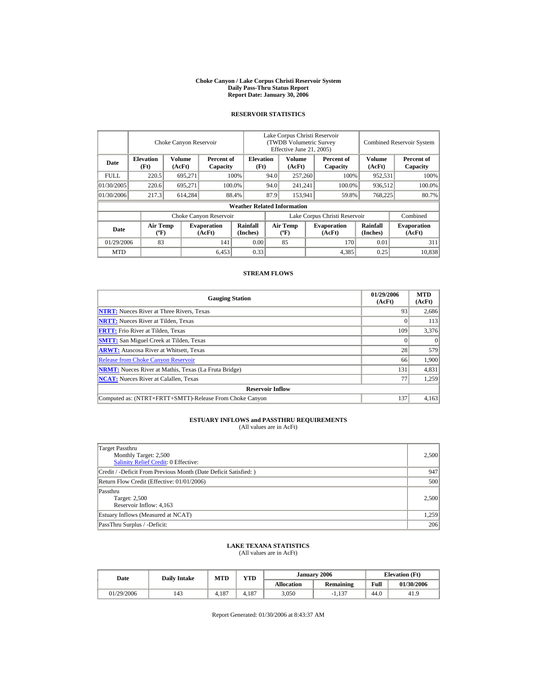#### **Choke Canyon / Lake Corpus Christi Reservoir System Daily Pass-Thru Status Report Report Date: January 30, 2006**

## **RESERVOIR STATISTICS**

|            | Choke Canyon Reservoir                      |                  |                              |                                    | Lake Corpus Christi Reservoir<br>(TWDB Volumetric Survey<br>Effective June 21, 2005) |                                  |  |                              |                      | <b>Combined Reservoir System</b> |  |  |
|------------|---------------------------------------------|------------------|------------------------------|------------------------------------|--------------------------------------------------------------------------------------|----------------------------------|--|------------------------------|----------------------|----------------------------------|--|--|
| Date       | <b>Elevation</b><br>(Ft)                    | Volume<br>(AcFt) | Percent of<br>Capacity       |                                    | <b>Elevation</b><br>(Ft)                                                             | Volume<br>(AcFt)                 |  | Percent of<br>Capacity       | Volume<br>(AcFt)     | Percent of<br>Capacity           |  |  |
| FULL.      | 220.5                                       | 695,271          |                              | 100%                               | 94.0                                                                                 | 257,260                          |  | 100%                         | 952,531              | 100%                             |  |  |
| 01/30/2005 | 220.6                                       | 695.271          |                              | 100.0%                             | 94.0                                                                                 | 241,241                          |  | 100.0%                       | 936,512              | 100.0%                           |  |  |
| 01/30/2006 | 217.3                                       | 614,284          |                              | 88.4%                              | 87.9                                                                                 | 153.941                          |  | 59.8%                        | 768,225              | 80.7%                            |  |  |
|            |                                             |                  |                              | <b>Weather Related Information</b> |                                                                                      |                                  |  |                              |                      |                                  |  |  |
|            |                                             |                  | Choke Canyon Reservoir       |                                    | Lake Corpus Christi Reservoir                                                        |                                  |  |                              |                      | Combined                         |  |  |
| Date       | <b>Air Temp</b><br>$({}^{\circ}\mathrm{F})$ |                  | <b>Evaporation</b><br>(AcFt) | Rainfall<br>(Inches)               |                                                                                      | <b>Air Temp</b><br>$(^{\circ}F)$ |  | <b>Evaporation</b><br>(AcFt) | Rainfall<br>(Inches) | <b>Evaporation</b><br>(AcFt)     |  |  |
| 01/29/2006 | 83                                          |                  | 141                          | 0.00                               |                                                                                      | 85                               |  | 170                          | 0.01                 | 311                              |  |  |
| <b>MTD</b> |                                             |                  | 6,453                        | 0.33                               |                                                                                      |                                  |  | 4,385                        | 0.25                 | 10.838                           |  |  |

## **STREAM FLOWS**

| <b>Gauging Station</b>                                       | 01/29/2006<br>(AcFt) | <b>MTD</b><br>(AcFt) |
|--------------------------------------------------------------|----------------------|----------------------|
| <b>NTRT:</b> Nueces River at Three Rivers, Texas             | 93                   | 2,686                |
| <b>NRTT:</b> Nueces River at Tilden, Texas                   |                      | 113                  |
| <b>FRTT:</b> Frio River at Tilden, Texas                     | 109                  | 3,376                |
| <b>SMTT:</b> San Miguel Creek at Tilden, Texas               |                      | $\Omega$             |
| <b>ARWT:</b> Atascosa River at Whitsett, Texas               | 28                   | 579                  |
| <b>Release from Choke Canyon Reservoir</b>                   | 66                   | 1,900                |
| <b>NRMT:</b> Nueces River at Mathis, Texas (La Fruta Bridge) | 131                  | 4,831                |
| <b>NCAT:</b> Nueces River at Calallen, Texas                 | 77                   | 1,259                |
| <b>Reservoir Inflow</b>                                      |                      |                      |
| Computed as: (NTRT+FRTT+SMTT)-Release From Choke Canyon      | 137                  | 4.163                |

# **ESTUARY INFLOWS and PASSTHRU REQUIREMENTS**<br>(All values are in AcFt)

| Target Passthru<br>Monthly Target: 2,500<br><b>Salinity Relief Credit: 0 Effective:</b> | 2,500 |
|-----------------------------------------------------------------------------------------|-------|
| Credit / -Deficit From Previous Month (Date Deficit Satisfied:)                         | 947   |
| Return Flow Credit (Effective: 01/01/2006)                                              | 500   |
| Passthru<br>Target: 2,500<br>Reservoir Inflow: 4,163                                    | 2.500 |
| Estuary Inflows (Measured at NCAT)                                                      | 1,259 |
| PassThru Surplus / -Deficit:                                                            | 206   |

## **LAKE TEXANA STATISTICS**

(All values are in AcFt)

| Date       | <b>Daily Intake</b> | <b>MTD</b> | <b>VTD</b> | January 2006      |           | <b>Elevation</b> (Ft) |            |
|------------|---------------------|------------|------------|-------------------|-----------|-----------------------|------------|
|            |                     |            |            | <b>Allocation</b> | Remaining | Full                  | 01/30/2006 |
| 01/29/2006 | 143                 | 4.187      | 4.187      | 3,050             | $-1.137$  | 44.0                  | 41.9       |

Report Generated: 01/30/2006 at 8:43:37 AM